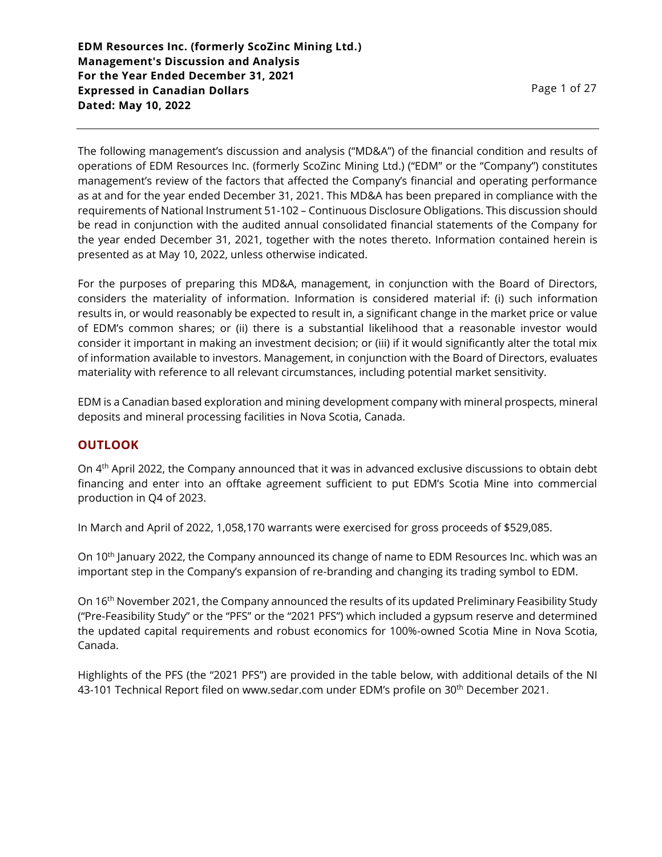**EDM Resources Inc. (formerly ScoZinc Mining Ltd.) Management's Discussion and Analysis For the Year Ended December 31, 2021 Expressed in Canadian Dollars Dated: May 10, 2022**

The following management's discussion and analysis ("MD&A") of the financial condition and results of operations of EDM Resources Inc. (formerly ScoZinc Mining Ltd.) ("EDM" or the "Company") constitutes management's review of the factors that affected the Company's financial and operating performance as at and for the year ended December 31, 2021. This MD&A has been prepared in compliance with the requirements of National Instrument 51-102 – Continuous Disclosure Obligations. This discussion should be read in conjunction with the audited annual consolidated financial statements of the Company for the year ended December 31, 2021, together with the notes thereto. Information contained herein is presented as at May 10, 2022, unless otherwise indicated.

For the purposes of preparing this MD&A, management, in conjunction with the Board of Directors, considers the materiality of information. Information is considered material if: (i) such information results in, or would reasonably be expected to result in, a significant change in the market price or value of EDM's common shares; or (ii) there is a substantial likelihood that a reasonable investor would consider it important in making an investment decision; or (iii) if it would significantly alter the total mix of information available to investors. Management, in conjunction with the Board of Directors, evaluates materiality with reference to all relevant circumstances, including potential market sensitivity.

EDM is a Canadian based exploration and mining development company with mineral prospects, mineral deposits and mineral processing facilities in Nova Scotia, Canada.

### **OUTLOOK**

On 4th April 2022, the Company announced that it was in advanced exclusive discussions to obtain debt financing and enter into an offtake agreement sufficient to put EDM's Scotia Mine into commercial production in Q4 of 2023.

In March and April of 2022, 1,058,170 warrants were exercised for gross proceeds of \$529,085.

On 10th January 2022, the Company announced its change of name to EDM Resources Inc. which was an important step in the Company's expansion of re-branding and changing its trading symbol to EDM.

On 16th November 2021, the Company announced the results of its updated Preliminary Feasibility Study ("Pre-Feasibility Study" or the "PFS" or the "2021 PFS") which included a gypsum reserve and determined the updated capital requirements and robust economics for 100%-owned Scotia Mine in Nova Scotia, Canada.

Highlights of the PFS (the "2021 PFS") are provided in the table below, with additional details of the NI 43-101 Technical Report filed on www.sedar.com under EDM's profile on 30<sup>th</sup> December 2021.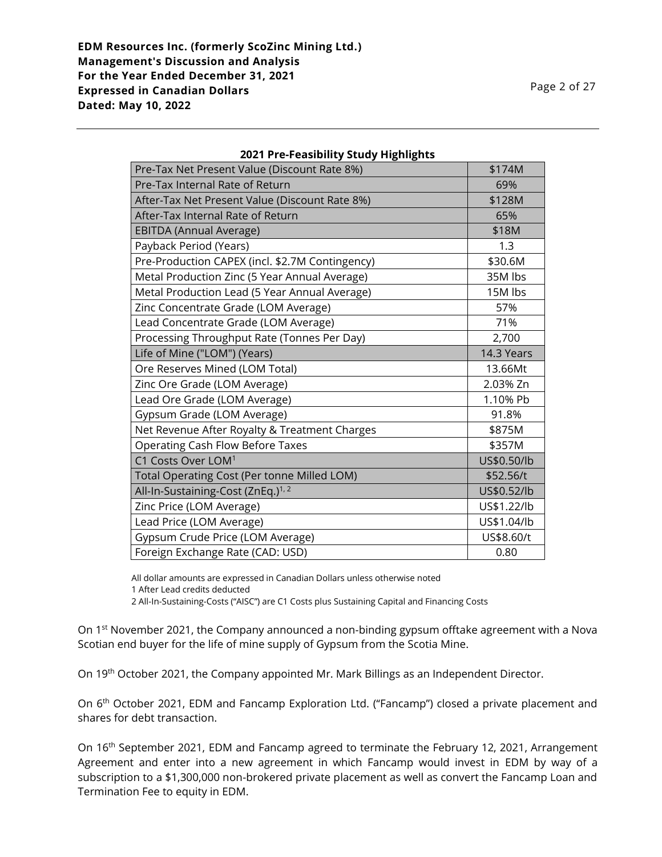| Pre-Tax Net Present Value (Discount Rate 8%)    | \$174M      |
|-------------------------------------------------|-------------|
| Pre-Tax Internal Rate of Return                 | 69%         |
| After-Tax Net Present Value (Discount Rate 8%)  | \$128M      |
| After-Tax Internal Rate of Return               | 65%         |
| <b>EBITDA (Annual Average)</b>                  | \$18M       |
| Payback Period (Years)                          | 1.3         |
| Pre-Production CAPEX (incl. \$2.7M Contingency) | \$30.6M     |
| Metal Production Zinc (5 Year Annual Average)   | 35M lbs     |
| Metal Production Lead (5 Year Annual Average)   | 15M lbs     |
| Zinc Concentrate Grade (LOM Average)            | 57%         |
| Lead Concentrate Grade (LOM Average)            | 71%         |
| Processing Throughput Rate (Tonnes Per Day)     | 2,700       |
| Life of Mine ("LOM") (Years)                    | 14.3 Years  |
| Ore Reserves Mined (LOM Total)                  | 13.66Mt     |
| Zinc Ore Grade (LOM Average)                    | 2.03% Zn    |
| Lead Ore Grade (LOM Average)                    | 1.10% Pb    |
| Gypsum Grade (LOM Average)                      | 91.8%       |
| Net Revenue After Royalty & Treatment Charges   | \$875M      |
| Operating Cash Flow Before Taxes                | \$357M      |
| C1 Costs Over LOM <sup>1</sup>                  | US\$0.50/lb |
| Total Operating Cost (Per tonne Milled LOM)     | \$52.56/t   |
| All-In-Sustaining-Cost (ZnEq.) <sup>1, 2</sup>  | US\$0.52/lb |
| Zinc Price (LOM Average)                        | US\$1.22/lb |
| Lead Price (LOM Average)                        | US\$1.04/lb |
| Gypsum Crude Price (LOM Average)                | US\$8.60/t  |
| Foreign Exchange Rate (CAD: USD)                | 0.80        |

#### **2021 Pre-Feasibility Study Highlights**

All dollar amounts are expressed in Canadian Dollars unless otherwise noted

2 All-In-Sustaining-Costs ("AISC") are C1 Costs plus Sustaining Capital and Financing Costs

On 1<sup>st</sup> November 2021, the Company announced a non-binding gypsum offtake agreement with a Nova Scotian end buyer for the life of mine supply of Gypsum from the Scotia Mine.

On 19th October 2021, the Company appointed Mr. Mark Billings as an Independent Director.

On 6<sup>th</sup> October 2021, EDM and Fancamp Exploration Ltd. ("Fancamp") closed a private placement and shares for debt transaction.

On 16<sup>th</sup> September 2021, EDM and Fancamp agreed to terminate the February 12, 2021, Arrangement Agreement and enter into a new agreement in which Fancamp would invest in EDM by way of a subscription to a \$1,300,000 non-brokered private placement as well as convert the Fancamp Loan and Termination Fee to equity in EDM.

<sup>1</sup> After Lead credits deducted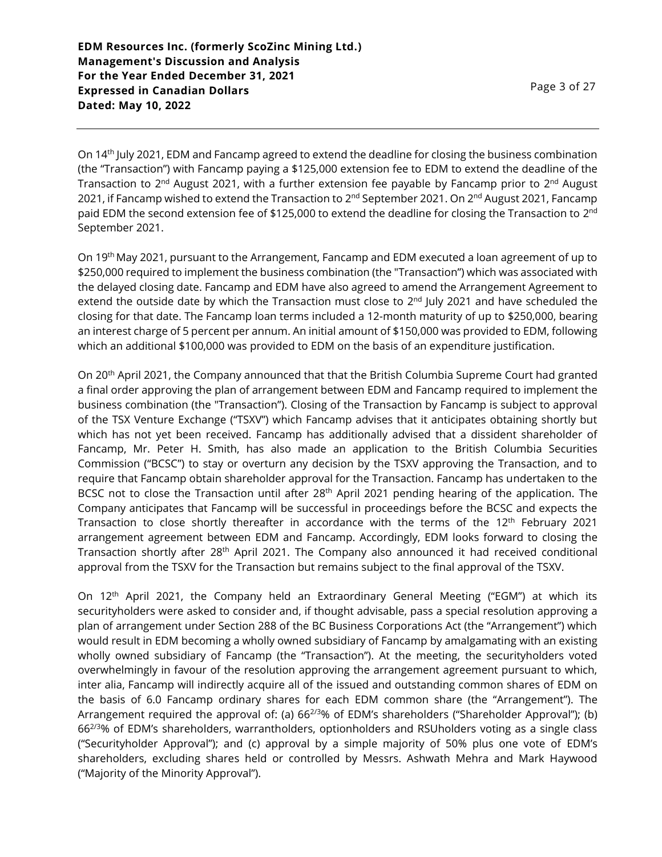Page 3 of 27

On 14th July 2021, EDM and Fancamp agreed to extend the deadline for closing the business combination (the "Transaction") with Fancamp paying a \$125,000 extension fee to EDM to extend the deadline of the Transaction to 2<sup>nd</sup> August 2021, with a further extension fee payable by Fancamp prior to 2<sup>nd</sup> August 2021, if Fancamp wished to extend the Transaction to 2<sup>nd</sup> September 2021. On 2<sup>nd</sup> August 2021, Fancamp paid EDM the second extension fee of \$125,000 to extend the deadline for closing the Transaction to 2 $^{\rm{nd}}$ September 2021.

On 19th May 2021, pursuant to the Arrangement, Fancamp and EDM executed a loan agreement of up to \$250,000 required to implement the business combination (the "Transaction") which was associated with the delayed closing date. Fancamp and EDM have also agreed to amend the Arrangement Agreement to extend the outside date by which the Transaction must close to  $2<sup>nd</sup>$  July 2021 and have scheduled the closing for that date. The Fancamp loan terms included a 12-month maturity of up to \$250,000, bearing an interest charge of 5 percent per annum. An initial amount of \$150,000 was provided to EDM, following which an additional \$100,000 was provided to EDM on the basis of an expenditure justification.

On 20th April 2021, the Company announced that that the British Columbia Supreme Court had granted a final order approving the plan of arrangement between EDM and Fancamp required to implement the business combination (the "Transaction"). Closing of the Transaction by Fancamp is subject to approval of the TSX Venture Exchange ("TSXV") which Fancamp advises that it anticipates obtaining shortly but which has not yet been received. Fancamp has additionally advised that a dissident shareholder of Fancamp, Mr. Peter H. Smith, has also made an application to the British Columbia Securities Commission ("BCSC") to stay or overturn any decision by the TSXV approving the Transaction, and to require that Fancamp obtain shareholder approval for the Transaction. Fancamp has undertaken to the BCSC not to close the Transaction until after 28<sup>th</sup> April 2021 pending hearing of the application. The Company anticipates that Fancamp will be successful in proceedings before the BCSC and expects the Transaction to close shortly thereafter in accordance with the terms of the 12<sup>th</sup> February 2021 arrangement agreement between EDM and Fancamp. Accordingly, EDM looks forward to closing the Transaction shortly after 28<sup>th</sup> April 2021. The Company also announced it had received conditional approval from the TSXV for the Transaction but remains subject to the final approval of the TSXV.

On 12th April 2021, the Company held an Extraordinary General Meeting ("EGM") at which its securityholders were asked to consider and, if thought advisable, pass a special resolution approving a plan of arrangement under Section 288 of the BC Business Corporations Act (the "Arrangement") which would result in EDM becoming a wholly owned subsidiary of Fancamp by amalgamating with an existing wholly owned subsidiary of Fancamp (the "Transaction"). At the meeting, the securityholders voted overwhelmingly in favour of the resolution approving the arrangement agreement pursuant to which, inter alia, Fancamp will indirectly acquire all of the issued and outstanding common shares of EDM on the basis of 6.0 Fancamp ordinary shares for each EDM common share (the "Arrangement"). The Arrangement required the approval of: (a) 66<sup>2/3</sup>% of EDM's shareholders ("Shareholder Approval"); (b) 662/3% of EDM's shareholders, warrantholders, optionholders and RSUholders voting as a single class ("Securityholder Approval"); and (c) approval by a simple majority of 50% plus one vote of EDM's shareholders, excluding shares held or controlled by Messrs. Ashwath Mehra and Mark Haywood ("Majority of the Minority Approval").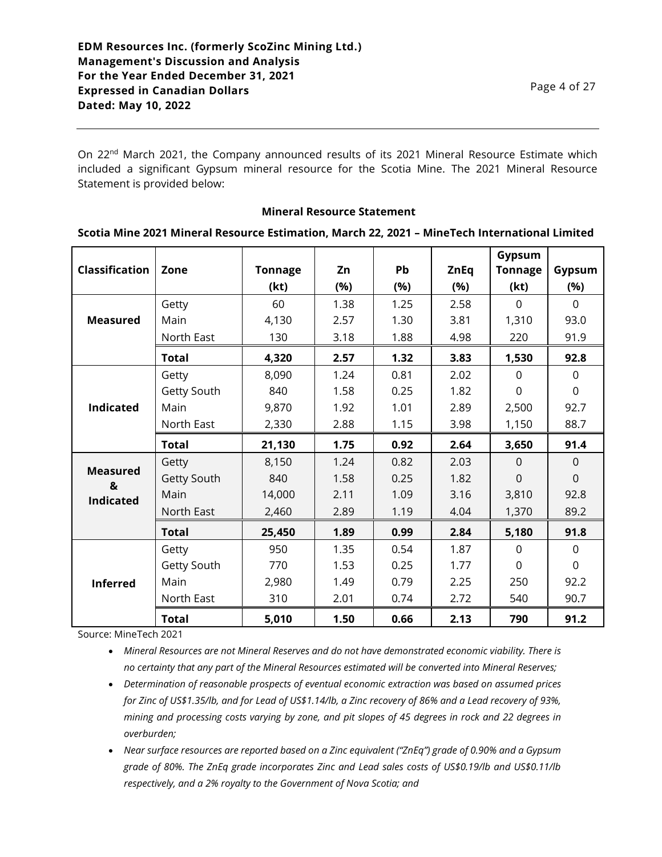On 22<sup>nd</sup> March 2021, the Company announced results of its 2021 Mineral Resource Estimate which included a significant Gypsum mineral resource for the Scotia Mine. The 2021 Mineral Resource Statement is provided below:

#### **Mineral Resource Statement**

#### **Scotia Mine 2021 Mineral Resource Estimation, March 22, 2021 – MineTech International Limited**

| <b>Classification</b> | Zone         | <b>Tonnage</b> | Zn   | Pb   | <b>ZnEq</b> | Gypsum<br><b>Tonnage</b> | Gypsum      |
|-----------------------|--------------|----------------|------|------|-------------|--------------------------|-------------|
|                       |              | (kt)           | (%)  | (%)  | (%)         | (kt)                     | (%)         |
|                       | Getty        | 60             | 1.38 | 1.25 | 2.58        | $\Omega$                 | $\Omega$    |
| <b>Measured</b>       | Main         | 4,130          | 2.57 | 1.30 | 3.81        | 1,310                    | 93.0        |
|                       | North East   | 130            | 3.18 | 1.88 | 4.98        | 220                      | 91.9        |
|                       | <b>Total</b> | 4,320          | 2.57 | 1.32 | 3.83        | 1,530                    | 92.8        |
|                       | Getty        | 8,090          | 1.24 | 0.81 | 2.02        | $\Omega$                 | $\Omega$    |
|                       | Getty South  | 840            | 1.58 | 0.25 | 1.82        | 0                        | $\mathbf 0$ |
| <b>Indicated</b>      | Main         | 9,870          | 1.92 | 1.01 | 2.89        | 2,500                    | 92.7        |
|                       | North East   | 2,330          | 2.88 | 1.15 | 3.98        | 1,150                    | 88.7        |
|                       | <b>Total</b> | 21,130         | 1.75 | 0.92 | 2.64        | 3,650                    | 91.4        |
|                       | Getty        | 8,150          | 1.24 | 0.82 | 2.03        | $\mathbf 0$              | $\Omega$    |
| <b>Measured</b><br>&  | Getty South  | 840            | 1.58 | 0.25 | 1.82        | $\Omega$                 | $\Omega$    |
| <b>Indicated</b>      | Main         | 14,000         | 2.11 | 1.09 | 3.16        | 3,810                    | 92.8        |
|                       | North East   | 2,460          | 2.89 | 1.19 | 4.04        | 1,370                    | 89.2        |
|                       | <b>Total</b> | 25,450         | 1.89 | 0.99 | 2.84        | 5,180                    | 91.8        |
|                       | Getty        | 950            | 1.35 | 0.54 | 1.87        | $\Omega$                 | $\mathbf 0$ |
| <b>Inferred</b>       | Getty South  | 770            | 1.53 | 0.25 | 1.77        | $\Omega$                 | $\mathbf 0$ |
|                       | Main         | 2,980          | 1.49 | 0.79 | 2.25        | 250                      | 92.2        |
|                       | North East   | 310            | 2.01 | 0.74 | 2.72        | 540                      | 90.7        |
|                       | <b>Total</b> | 5,010          | 1.50 | 0.66 | 2.13        | 790                      | 91.2        |

Source: MineTech 2021

• *Mineral Resources are not Mineral Reserves and do not have demonstrated economic viability. There is no certainty that any part of the Mineral Resources estimated will be converted into Mineral Reserves;*

- *Determination of reasonable prospects of eventual economic extraction was based on assumed prices for Zinc of US\$1.35/lb, and for Lead of US\$1.14/lb, a Zinc recovery of 86% and a Lead recovery of 93%, mining and processing costs varying by zone, and pit slopes of 45 degrees in rock and 22 degrees in overburden;*
- *Near surface resources are reported based on a Zinc equivalent ("ZnEq") grade of 0.90% and a Gypsum grade of 80%. The ZnEq grade incorporates Zinc and Lead sales costs of US\$0.19/lb and US\$0.11/lb respectively, and a 2% royalty to the Government of Nova Scotia; and*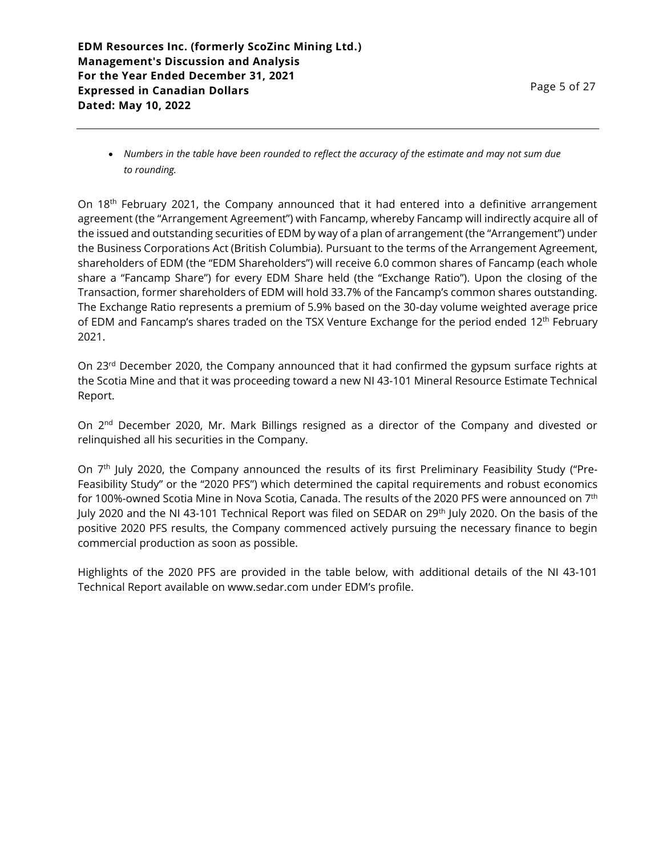• *Numbers in the table have been rounded to reflect the accuracy of the estimate and may not sum due to rounding.*

On 18<sup>th</sup> February 2021, the Company announced that it had entered into a definitive arrangement agreement (the "Arrangement Agreement") with Fancamp, whereby Fancamp will indirectly acquire all of the issued and outstanding securities of EDM by way of a plan of arrangement (the "Arrangement") under the Business Corporations Act (British Columbia). Pursuant to the terms of the Arrangement Agreement, shareholders of EDM (the "EDM Shareholders") will receive 6.0 common shares of Fancamp (each whole share a "Fancamp Share") for every EDM Share held (the "Exchange Ratio"). Upon the closing of the Transaction, former shareholders of EDM will hold 33.7% of the Fancamp's common shares outstanding. The Exchange Ratio represents a premium of 5.9% based on the 30-day volume weighted average price of EDM and Fancamp's shares traded on the TSX Venture Exchange for the period ended 12<sup>th</sup> February 2021.

On 23<sup>rd</sup> December 2020, the Company announced that it had confirmed the gypsum surface rights at the Scotia Mine and that it was proceeding toward a new NI 43-101 Mineral Resource Estimate Technical Report.

On 2<sup>nd</sup> December 2020, Mr. Mark Billings resigned as a director of the Company and divested or relinquished all his securities in the Company.

On 7<sup>th</sup> July 2020, the Company announced the results of its first Preliminary Feasibility Study ("Pre-Feasibility Study" or the "2020 PFS") which determined the capital requirements and robust economics for 100%-owned Scotia Mine in Nova Scotia, Canada. The results of the 2020 PFS were announced on 7th July 2020 and the NI 43-101 Technical Report was filed on SEDAR on 29<sup>th</sup> July 2020. On the basis of the positive 2020 PFS results, the Company commenced actively pursuing the necessary finance to begin commercial production as soon as possible.

Highlights of the 2020 PFS are provided in the table below, with additional details of the NI 43-101 Technical Report available on www.sedar.com under EDM's profile.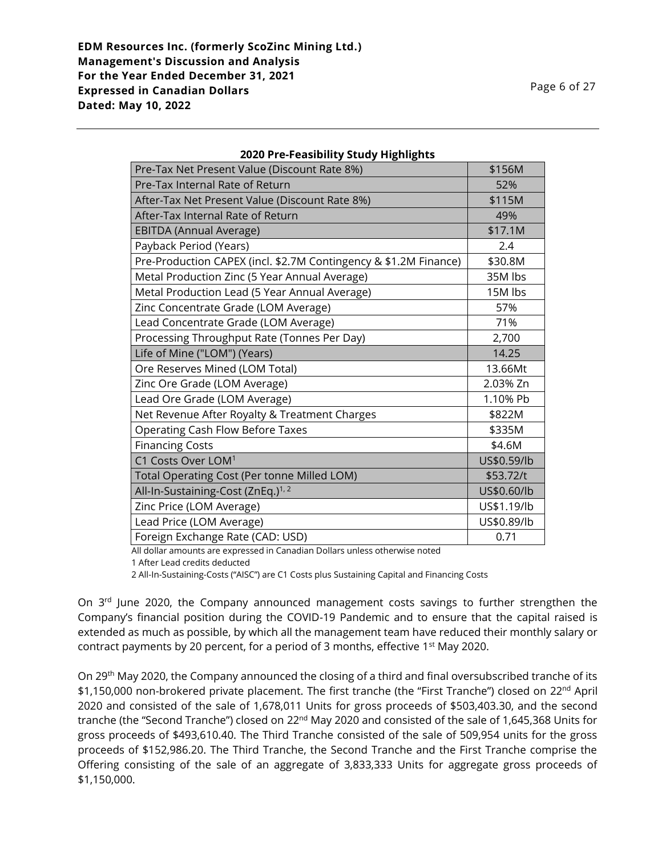| Pre-Tax Net Present Value (Discount Rate 8%)                     | \$156M      |
|------------------------------------------------------------------|-------------|
| Pre-Tax Internal Rate of Return                                  | 52%         |
| After-Tax Net Present Value (Discount Rate 8%)                   | \$115M      |
| After-Tax Internal Rate of Return                                | 49%         |
| <b>EBITDA (Annual Average)</b>                                   | \$17.1M     |
| Payback Period (Years)                                           | 2.4         |
| Pre-Production CAPEX (incl. \$2.7M Contingency & \$1.2M Finance) | \$30.8M     |
| Metal Production Zinc (5 Year Annual Average)                    | 35M lbs     |
| Metal Production Lead (5 Year Annual Average)                    | 15M lbs     |
| Zinc Concentrate Grade (LOM Average)                             | 57%         |
| Lead Concentrate Grade (LOM Average)                             | 71%         |
| Processing Throughput Rate (Tonnes Per Day)                      | 2,700       |
| Life of Mine ("LOM") (Years)                                     | 14.25       |
| Ore Reserves Mined (LOM Total)                                   | 13.66Mt     |
| Zinc Ore Grade (LOM Average)                                     | 2.03% Zn    |
| Lead Ore Grade (LOM Average)                                     | 1.10% Pb    |
| Net Revenue After Royalty & Treatment Charges                    | \$822M      |
| <b>Operating Cash Flow Before Taxes</b>                          | \$335M      |
| <b>Financing Costs</b>                                           | \$4.6M      |
| C1 Costs Over LOM <sup>1</sup>                                   | US\$0.59/lb |
| <b>Total Operating Cost (Per tonne Milled LOM)</b>               | \$53.72/t   |
| All-In-Sustaining-Cost (ZnEq.) <sup>1, 2</sup>                   | US\$0.60/lb |
| Zinc Price (LOM Average)                                         | US\$1.19/lb |
| Lead Price (LOM Average)                                         | US\$0.89/lb |
| Foreign Exchange Rate (CAD: USD)                                 | 0.71        |

### **2020 Pre-Feasibility Study Highlights**

All dollar amounts are expressed in Canadian Dollars unless otherwise noted

1 After Lead credits deducted

2 All-In-Sustaining-Costs ("AISC") are C1 Costs plus Sustaining Capital and Financing Costs

On 3<sup>rd</sup> June 2020, the Company announced management costs savings to further strengthen the Company's financial position during the COVID-19 Pandemic and to ensure that the capital raised is extended as much as possible, by which all the management team have reduced their monthly salary or contract payments by 20 percent, for a period of 3 months, effective 1st May 2020.

On 29th May 2020, the Company announced the closing of a third and final oversubscribed tranche of its \$1,150,000 non-brokered private placement. The first tranche (the "First Tranche") closed on 22<sup>nd</sup> April 2020 and consisted of the sale of 1,678,011 Units for gross proceeds of \$503,403.30, and the second tranche (the "Second Tranche") closed on 22<sup>nd</sup> May 2020 and consisted of the sale of 1,645,368 Units for gross proceeds of \$493,610.40. The Third Tranche consisted of the sale of 509,954 units for the gross proceeds of \$152,986.20. The Third Tranche, the Second Tranche and the First Tranche comprise the Offering consisting of the sale of an aggregate of 3,833,333 Units for aggregate gross proceeds of \$1,150,000.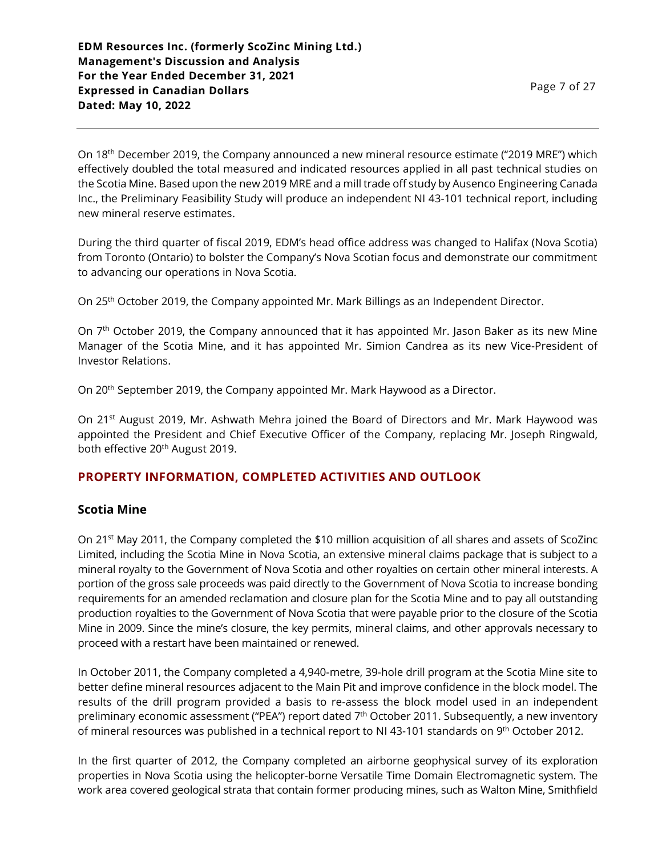On 18<sup>th</sup> December 2019, the Company announced a new mineral resource estimate ("2019 MRE") which effectively doubled the total measured and indicated resources applied in all past technical studies on the Scotia Mine. Based upon the new 2019 MRE and a mill trade off study by Ausenco Engineering Canada Inc., the Preliminary Feasibility Study will produce an independent NI 43-101 technical report, including new mineral reserve estimates.

During the third quarter of fiscal 2019, EDM's head office address was changed to Halifax (Nova Scotia) from Toronto (Ontario) to bolster the Company's Nova Scotian focus and demonstrate our commitment to advancing our operations in Nova Scotia.

On 25th October 2019, the Company appointed Mr. Mark Billings as an Independent Director.

On 7<sup>th</sup> October 2019, the Company announced that it has appointed Mr. Jason Baker as its new Mine Manager of the Scotia Mine, and it has appointed Mr. Simion Candrea as its new Vice-President of Investor Relations.

On 20<sup>th</sup> September 2019, the Company appointed Mr. Mark Haywood as a Director.

On 21<sup>st</sup> August 2019, Mr. Ashwath Mehra joined the Board of Directors and Mr. Mark Haywood was appointed the President and Chief Executive Officer of the Company, replacing Mr. Joseph Ringwald, both effective 20<sup>th</sup> August 2019.

## **PROPERTY INFORMATION, COMPLETED ACTIVITIES AND OUTLOOK**

## **Scotia Mine**

On 21st May 2011, the Company completed the \$10 million acquisition of all shares and assets of ScoZinc Limited, including the Scotia Mine in Nova Scotia, an extensive mineral claims package that is subject to a mineral royalty to the Government of Nova Scotia and other royalties on certain other mineral interests. A portion of the gross sale proceeds was paid directly to the Government of Nova Scotia to increase bonding requirements for an amended reclamation and closure plan for the Scotia Mine and to pay all outstanding production royalties to the Government of Nova Scotia that were payable prior to the closure of the Scotia Mine in 2009. Since the mine's closure, the key permits, mineral claims, and other approvals necessary to proceed with a restart have been maintained or renewed.

In October 2011, the Company completed a 4,940-metre, 39-hole drill program at the Scotia Mine site to better define mineral resources adjacent to the Main Pit and improve confidence in the block model. The results of the drill program provided a basis to re-assess the block model used in an independent preliminary economic assessment ("PEA") report dated 7<sup>th</sup> October 2011. Subsequently, a new inventory of mineral resources was published in a technical report to NI 43-101 standards on 9<sup>th</sup> October 2012.

In the first quarter of 2012, the Company completed an airborne geophysical survey of its exploration properties in Nova Scotia using the helicopter-borne Versatile Time Domain Electromagnetic system. The work area covered geological strata that contain former producing mines, such as Walton Mine, Smithfield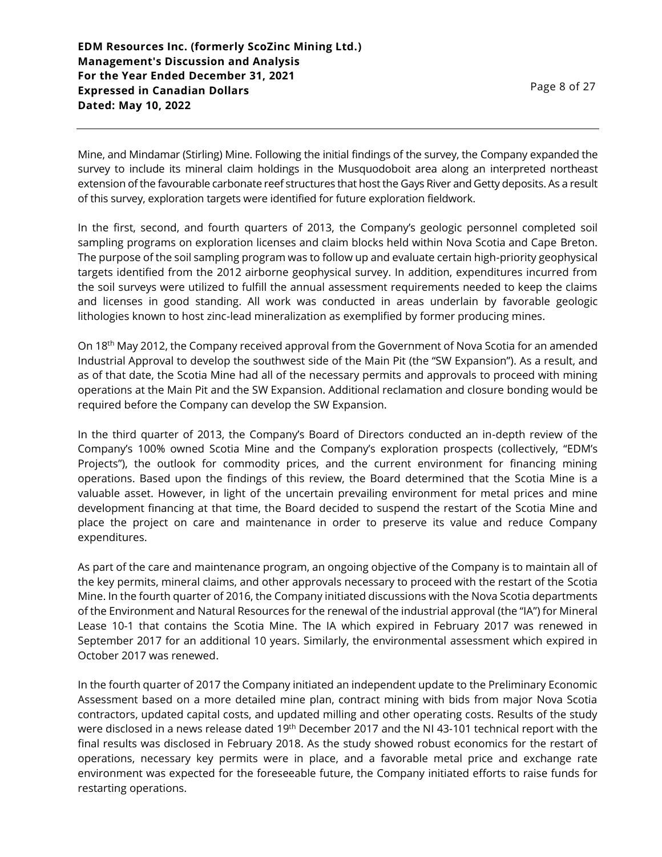Mine, and Mindamar (Stirling) Mine. Following the initial findings of the survey, the Company expanded the survey to include its mineral claim holdings in the Musquodoboit area along an interpreted northeast extension of the favourable carbonate reef structures that host the Gays River and Getty deposits. As a result of this survey, exploration targets were identified for future exploration fieldwork.

In the first, second, and fourth quarters of 2013, the Company's geologic personnel completed soil sampling programs on exploration licenses and claim blocks held within Nova Scotia and Cape Breton. The purpose of the soil sampling program was to follow up and evaluate certain high-priority geophysical targets identified from the 2012 airborne geophysical survey. In addition, expenditures incurred from the soil surveys were utilized to fulfill the annual assessment requirements needed to keep the claims and licenses in good standing. All work was conducted in areas underlain by favorable geologic lithologies known to host zinc-lead mineralization as exemplified by former producing mines.

On 18th May 2012, the Company received approval from the Government of Nova Scotia for an amended Industrial Approval to develop the southwest side of the Main Pit (the "SW Expansion"). As a result, and as of that date, the Scotia Mine had all of the necessary permits and approvals to proceed with mining operations at the Main Pit and the SW Expansion. Additional reclamation and closure bonding would be required before the Company can develop the SW Expansion.

In the third quarter of 2013, the Company's Board of Directors conducted an in-depth review of the Company's 100% owned Scotia Mine and the Company's exploration prospects (collectively, "EDM's Projects"), the outlook for commodity prices, and the current environment for financing mining operations. Based upon the findings of this review, the Board determined that the Scotia Mine is a valuable asset. However, in light of the uncertain prevailing environment for metal prices and mine development financing at that time, the Board decided to suspend the restart of the Scotia Mine and place the project on care and maintenance in order to preserve its value and reduce Company expenditures.

As part of the care and maintenance program, an ongoing objective of the Company is to maintain all of the key permits, mineral claims, and other approvals necessary to proceed with the restart of the Scotia Mine. In the fourth quarter of 2016, the Company initiated discussions with the Nova Scotia departments of the Environment and Natural Resources for the renewal of the industrial approval (the "IA") for Mineral Lease 10-1 that contains the Scotia Mine. The IA which expired in February 2017 was renewed in September 2017 for an additional 10 years. Similarly, the environmental assessment which expired in October 2017 was renewed.

In the fourth quarter of 2017 the Company initiated an independent update to the Preliminary Economic Assessment based on a more detailed mine plan, contract mining with bids from major Nova Scotia contractors, updated capital costs, and updated milling and other operating costs. Results of the study were disclosed in a news release dated 19<sup>th</sup> December 2017 and the NI 43-101 technical report with the final results was disclosed in February 2018. As the study showed robust economics for the restart of operations, necessary key permits were in place, and a favorable metal price and exchange rate environment was expected for the foreseeable future, the Company initiated efforts to raise funds for restarting operations.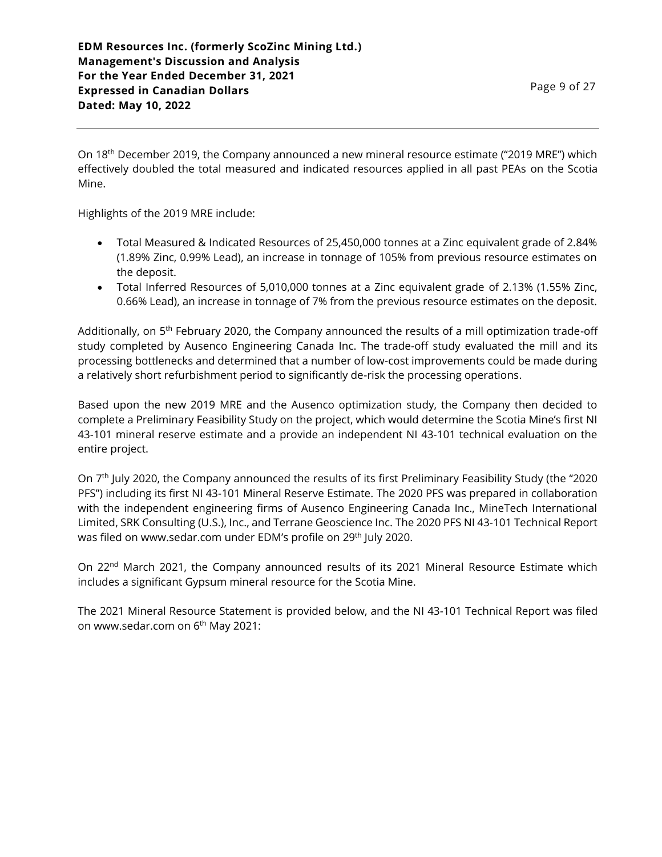**EDM Resources Inc. (formerly ScoZinc Mining Ltd.) Management's Discussion and Analysis For the Year Ended December 31, 2021 Expressed in Canadian Dollars Dated: May 10, 2022**

On 18<sup>th</sup> December 2019, the Company announced a new mineral resource estimate ("2019 MRE") which effectively doubled the total measured and indicated resources applied in all past PEAs on the Scotia Mine.

Highlights of the 2019 MRE include:

- Total Measured & Indicated Resources of 25,450,000 tonnes at a Zinc equivalent grade of 2.84% (1.89% Zinc, 0.99% Lead), an increase in tonnage of 105% from previous resource estimates on the deposit.
- Total Inferred Resources of 5,010,000 tonnes at a Zinc equivalent grade of 2.13% (1.55% Zinc, 0.66% Lead), an increase in tonnage of 7% from the previous resource estimates on the deposit.

Additionally, on 5<sup>th</sup> February 2020, the Company announced the results of a mill optimization trade-off study completed by Ausenco Engineering Canada Inc. The trade-off study evaluated the mill and its processing bottlenecks and determined that a number of low-cost improvements could be made during a relatively short refurbishment period to significantly de-risk the processing operations.

Based upon the new 2019 MRE and the Ausenco optimization study, the Company then decided to complete a Preliminary Feasibility Study on the project, which would determine the Scotia Mine's first NI 43-101 mineral reserve estimate and a provide an independent NI 43-101 technical evaluation on the entire project.

On 7 th July 2020, the Company announced the results of its first Preliminary Feasibility Study (the "2020 PFS") including its first NI 43-101 Mineral Reserve Estimate. The 2020 PFS was prepared in collaboration with the independent engineering firms of Ausenco Engineering Canada Inc., MineTech International Limited, SRK Consulting (U.S.), Inc., and Terrane Geoscience Inc. The 2020 PFS NI 43-101 Technical Report was filed on www.sedar.com under EDM's profile on 29<sup>th</sup> July 2020.

On 22<sup>nd</sup> March 2021, the Company announced results of its 2021 Mineral Resource Estimate which includes a significant Gypsum mineral resource for the Scotia Mine.

The 2021 Mineral Resource Statement is provided below, and the NI 43-101 Technical Report was filed on www.sedar.com on 6<sup>th</sup> May 2021: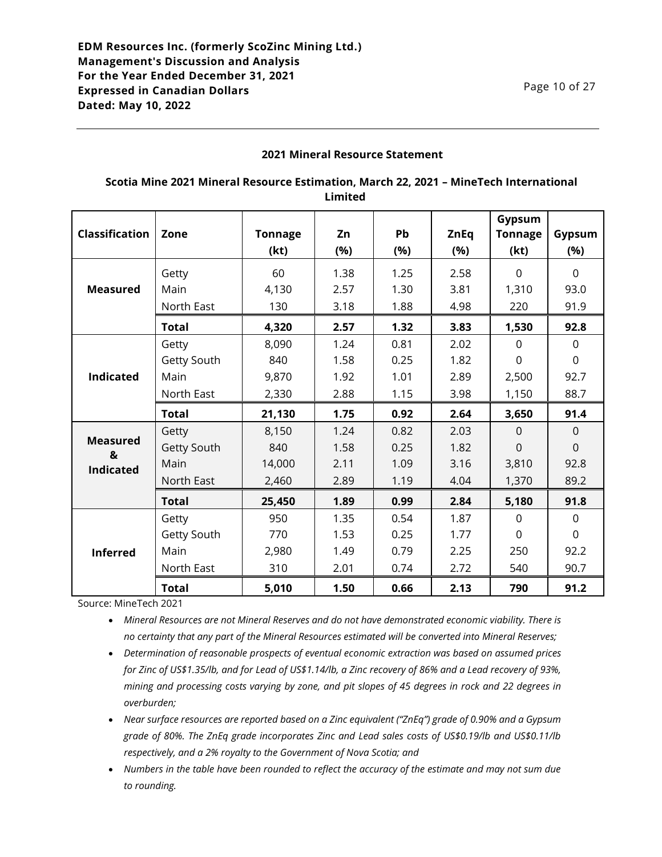### **2021 Mineral Resource Statement**

## **Scotia Mine 2021 Mineral Resource Estimation, March 22, 2021 – MineTech International Limited**

|                       |              |                |      |      |             | Gypsum         |                |
|-----------------------|--------------|----------------|------|------|-------------|----------------|----------------|
| <b>Classification</b> | Zone         | <b>Tonnage</b> | Zn   | Pb   | <b>ZnEq</b> | <b>Tonnage</b> | Gypsum         |
|                       |              | (kt)           | (%)  | (%)  | (%)         | (kt)           | (%)            |
|                       | Getty        | 60             | 1.38 | 1.25 | 2.58        | $\Omega$       | $\Omega$       |
| <b>Measured</b>       | Main         | 4,130          | 2.57 | 1.30 | 3.81        | 1,310          | 93.0           |
|                       | North East   | 130            | 3.18 | 1.88 | 4.98        | 220            | 91.9           |
|                       | <b>Total</b> | 4,320          | 2.57 | 1.32 | 3.83        | 1,530          | 92.8           |
|                       | Getty        | 8,090          | 1.24 | 0.81 | 2.02        | $\mathbf 0$    | $\mathbf 0$    |
|                       | Getty South  | 840            | 1.58 | 0.25 | 1.82        | $\mathbf 0$    | $\mathbf 0$    |
| <b>Indicated</b>      | Main         | 9,870          | 1.92 | 1.01 | 2.89        | 2,500          | 92.7           |
|                       | North East   | 2,330          | 2.88 | 1.15 | 3.98        | 1,150          | 88.7           |
|                       | <b>Total</b> | 21,130         | 1.75 | 0.92 | 2.64        | 3,650          | 91.4           |
|                       | Getty        | 8,150          | 1.24 | 0.82 | 2.03        | $\Omega$       | $\Omega$       |
| <b>Measured</b><br>&  | Getty South  | 840            | 1.58 | 0.25 | 1.82        | $\overline{0}$ | $\overline{0}$ |
| <b>Indicated</b>      | Main         | 14,000         | 2.11 | 1.09 | 3.16        | 3,810          | 92.8           |
|                       | North East   | 2,460          | 2.89 | 1.19 | 4.04        | 1,370          | 89.2           |
|                       | <b>Total</b> | 25,450         | 1.89 | 0.99 | 2.84        | 5,180          | 91.8           |
|                       | Getty        | 950            | 1.35 | 0.54 | 1.87        | $\Omega$       | $\Omega$       |
| <b>Inferred</b>       | Getty South  | 770            | 1.53 | 0.25 | 1.77        | $\Omega$       | $\Omega$       |
|                       | Main         | 2,980          | 1.49 | 0.79 | 2.25        | 250            | 92.2           |
|                       | North East   | 310            | 2.01 | 0.74 | 2.72        | 540            | 90.7           |
|                       | <b>Total</b> | 5,010          | 1.50 | 0.66 | 2.13        | 790            | 91.2           |

Source: MineTech 2021

• *Mineral Resources are not Mineral Reserves and do not have demonstrated economic viability. There is no certainty that any part of the Mineral Resources estimated will be converted into Mineral Reserves;*

- *Determination of reasonable prospects of eventual economic extraction was based on assumed prices for Zinc of US\$1.35/lb, and for Lead of US\$1.14/lb, a Zinc recovery of 86% and a Lead recovery of 93%, mining and processing costs varying by zone, and pit slopes of 45 degrees in rock and 22 degrees in overburden;*
- *Near surface resources are reported based on a Zinc equivalent ("ZnEq") grade of 0.90% and a Gypsum grade of 80%. The ZnEq grade incorporates Zinc and Lead sales costs of US\$0.19/lb and US\$0.11/lb respectively, and a 2% royalty to the Government of Nova Scotia; and*
- *Numbers in the table have been rounded to reflect the accuracy of the estimate and may not sum due to rounding.*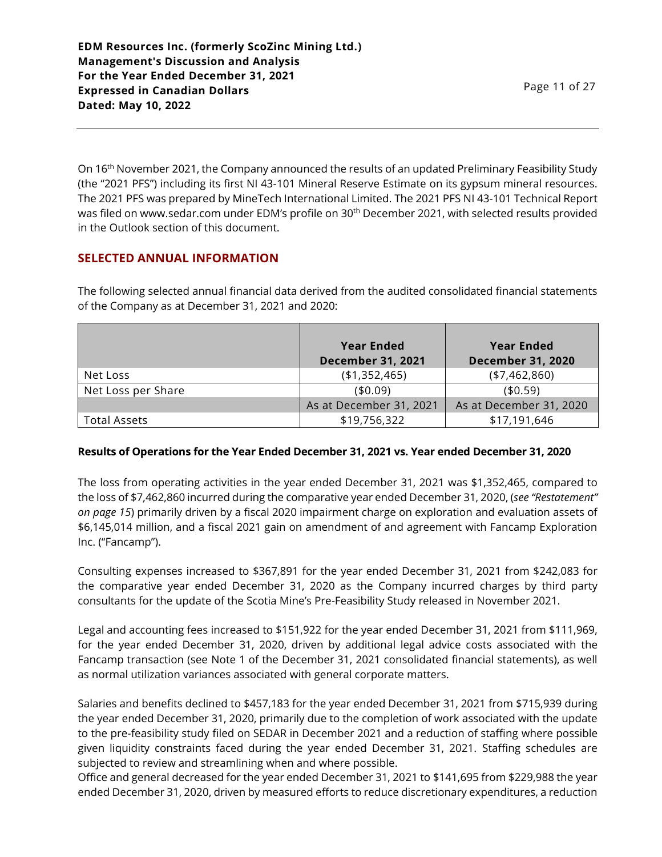On 16th November 2021, the Company announced the results of an updated Preliminary Feasibility Study (the "2021 PFS") including its first NI 43-101 Mineral Reserve Estimate on its gypsum mineral resources. The 2021 PFS was prepared by MineTech International Limited. The 2021 PFS NI 43-101 Technical Report was filed on www.sedar.com under EDM's profile on 30<sup>th</sup> December 2021, with selected results provided in the Outlook section of this document.

# **SELECTED ANNUAL INFORMATION**

The following selected annual financial data derived from the audited consolidated financial statements of the Company as at December 31, 2021 and 2020:

|                     | <b>Year Ended</b><br><b>December 31, 2021</b> | <b>Year Ended</b><br><b>December 31, 2020</b> |
|---------------------|-----------------------------------------------|-----------------------------------------------|
| Net Loss            | (\$1,352,465)                                 | $(*7,462,860)$                                |
| Net Loss per Share  | (\$0.09)                                      | (40.59)                                       |
|                     | As at December 31, 2021                       | As at December 31, 2020                       |
| <b>Total Assets</b> | \$19,756,322                                  | \$17,191,646                                  |

## **Results of Operations for the Year Ended December 31, 2021 vs. Year ended December 31, 2020**

The loss from operating activities in the year ended December 31, 2021 was \$1,352,465, compared to the loss of \$7,462,860 incurred during the comparative year ended December 31, 2020, (*see "Restatement" on page 15*) primarily driven by a fiscal 2020 impairment charge on exploration and evaluation assets of \$6,145,014 million, and a fiscal 2021 gain on amendment of and agreement with Fancamp Exploration Inc. ("Fancamp").

Consulting expenses increased to \$367,891 for the year ended December 31, 2021 from \$242,083 for the comparative year ended December 31, 2020 as the Company incurred charges by third party consultants for the update of the Scotia Mine's Pre-Feasibility Study released in November 2021.

Legal and accounting fees increased to \$151,922 for the year ended December 31, 2021 from \$111,969, for the year ended December 31, 2020, driven by additional legal advice costs associated with the Fancamp transaction (see Note 1 of the December 31, 2021 consolidated financial statements), as well as normal utilization variances associated with general corporate matters.

Salaries and benefits declined to \$457,183 for the year ended December 31, 2021 from \$715,939 during the year ended December 31, 2020, primarily due to the completion of work associated with the update to the pre-feasibility study filed on SEDAR in December 2021 and a reduction of staffing where possible given liquidity constraints faced during the year ended December 31, 2021. Staffing schedules are subjected to review and streamlining when and where possible.

Office and general decreased for the year ended December 31, 2021 to \$141,695 from \$229,988 the year ended December 31, 2020, driven by measured efforts to reduce discretionary expenditures, a reduction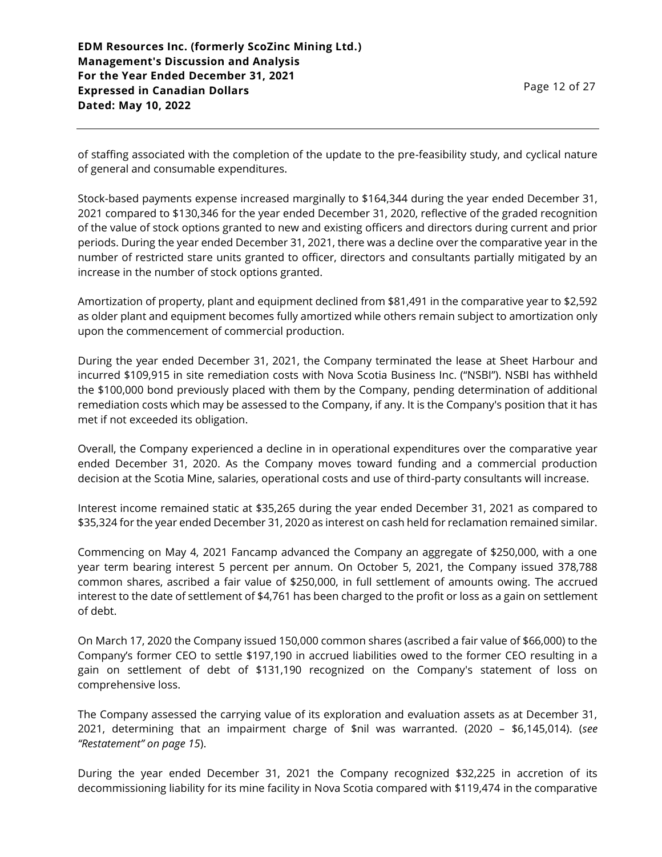of staffing associated with the completion of the update to the pre-feasibility study, and cyclical nature of general and consumable expenditures.

Stock-based payments expense increased marginally to \$164,344 during the year ended December 31, 2021 compared to \$130,346 for the year ended December 31, 2020, reflective of the graded recognition of the value of stock options granted to new and existing officers and directors during current and prior periods. During the year ended December 31, 2021, there was a decline over the comparative year in the number of restricted stare units granted to officer, directors and consultants partially mitigated by an increase in the number of stock options granted.

Amortization of property, plant and equipment declined from \$81,491 in the comparative year to \$2,592 as older plant and equipment becomes fully amortized while others remain subject to amortization only upon the commencement of commercial production.

During the year ended December 31, 2021, the Company terminated the lease at Sheet Harbour and incurred \$109,915 in site remediation costs with Nova Scotia Business Inc. ("NSBI"). NSBI has withheld the \$100,000 bond previously placed with them by the Company, pending determination of additional remediation costs which may be assessed to the Company, if any. It is the Company's position that it has met if not exceeded its obligation.

Overall, the Company experienced a decline in in operational expenditures over the comparative year ended December 31, 2020. As the Company moves toward funding and a commercial production decision at the Scotia Mine, salaries, operational costs and use of third-party consultants will increase.

Interest income remained static at \$35,265 during the year ended December 31, 2021 as compared to \$35,324 for the year ended December 31, 2020 as interest on cash held for reclamation remained similar.

Commencing on May 4, 2021 Fancamp advanced the Company an aggregate of \$250,000, with a one year term bearing interest 5 percent per annum. On October 5, 2021, the Company issued 378,788 common shares, ascribed a fair value of \$250,000, in full settlement of amounts owing. The accrued interest to the date of settlement of \$4,761 has been charged to the profit or loss as a gain on settlement of debt.

On March 17, 2020 the Company issued 150,000 common shares (ascribed a fair value of \$66,000) to the Company's former CEO to settle \$197,190 in accrued liabilities owed to the former CEO resulting in a gain on settlement of debt of \$131,190 recognized on the Company's statement of loss on comprehensive loss.

The Company assessed the carrying value of its exploration and evaluation assets as at December 31, 2021, determining that an impairment charge of \$nil was warranted. (2020 – \$6,145,014). (*see "Restatement" on page 15*).

During the year ended December 31, 2021 the Company recognized \$32,225 in accretion of its decommissioning liability for its mine facility in Nova Scotia compared with \$119,474 in the comparative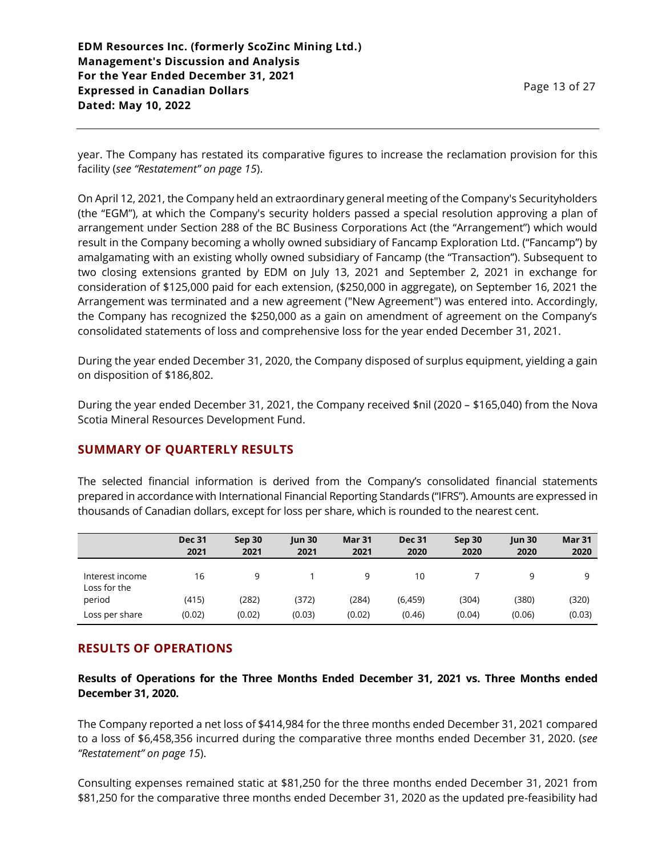year. The Company has restated its comparative figures to increase the reclamation provision for this facility (*see "Restatement" on page 15*).

On April 12, 2021, the Company held an extraordinary general meeting of the Company's Securityholders (the "EGM"), at which the Company's security holders passed a special resolution approving a plan of arrangement under Section 288 of the BC Business Corporations Act (the "Arrangement") which would result in the Company becoming a wholly owned subsidiary of Fancamp Exploration Ltd. ("Fancamp") by amalgamating with an existing wholly owned subsidiary of Fancamp (the "Transaction"). Subsequent to two closing extensions granted by EDM on July 13, 2021 and September 2, 2021 in exchange for consideration of \$125,000 paid for each extension, (\$250,000 in aggregate), on September 16, 2021 the Arrangement was terminated and a new agreement ("New Agreement") was entered into. Accordingly, the Company has recognized the \$250,000 as a gain on amendment of agreement on the Company's consolidated statements of loss and comprehensive loss for the year ended December 31, 2021.

During the year ended December 31, 2020, the Company disposed of surplus equipment, yielding a gain on disposition of \$186,802.

During the year ended December 31, 2021, the Company received \$nil (2020 – \$165,040) from the Nova Scotia Mineral Resources Development Fund.

# **SUMMARY OF QUARTERLY RESULTS**

The selected financial information is derived from the Company's consolidated financial statements prepared in accordance with International Financial Reporting Standards ("IFRS"). Amounts are expressed in thousands of Canadian dollars, except for loss per share, which is rounded to the nearest cent.

|                                 | <b>Dec 31</b><br>2021 | Sep 30<br>2021 | <b>Jun 30</b><br>2021 | <b>Mar 31</b><br>2021 | <b>Dec 31</b><br>2020 | Sep 30<br>2020 | $\mu$ n 30<br>2020 | <b>Mar 31</b><br>2020 |
|---------------------------------|-----------------------|----------------|-----------------------|-----------------------|-----------------------|----------------|--------------------|-----------------------|
| Interest income<br>Loss for the | 16                    | q              |                       | 9                     | 10                    |                | 9                  | a                     |
| period                          | (415)                 | (282)          | (372)                 | (284)                 | (6,459)               | (304)          | (380)              | (320)                 |
| Loss per share                  | (0.02)                | (0.02)         | (0.03)                | (0.02)                | (0.46)                | (0.04)         | (0.06)             | (0.03)                |

# **RESULTS OF OPERATIONS**

**Results of Operations for the Three Months Ended December 31, 2021 vs. Three Months ended December 31, 2020.**

The Company reported a net loss of \$414,984 for the three months ended December 31, 2021 compared to a loss of \$6,458,356 incurred during the comparative three months ended December 31, 2020. (*see "Restatement" on page 15*).

Consulting expenses remained static at \$81,250 for the three months ended December 31, 2021 from \$81,250 for the comparative three months ended December 31, 2020 as the updated pre-feasibility had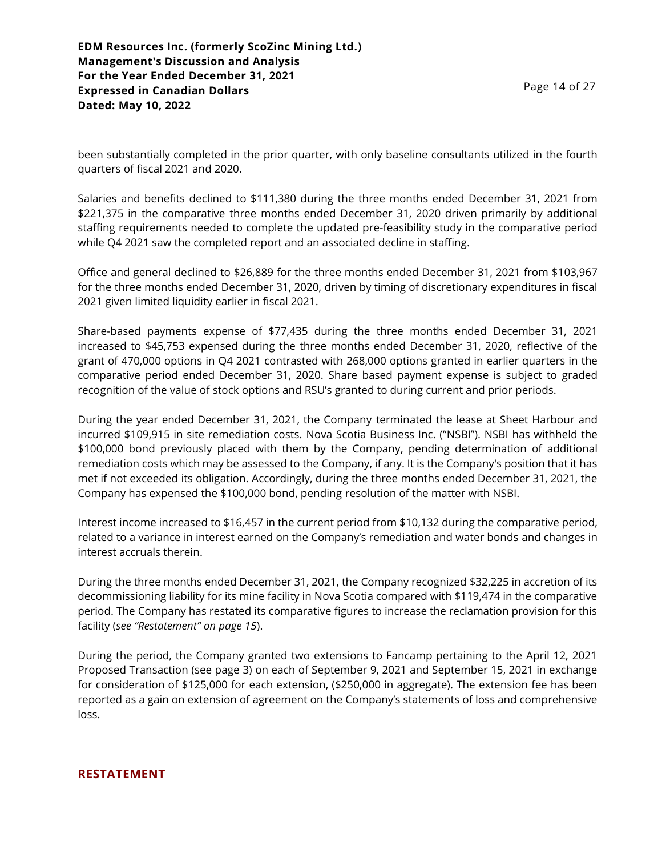been substantially completed in the prior quarter, with only baseline consultants utilized in the fourth quarters of fiscal 2021 and 2020.

Salaries and benefits declined to \$111,380 during the three months ended December 31, 2021 from \$221,375 in the comparative three months ended December 31, 2020 driven primarily by additional staffing requirements needed to complete the updated pre-feasibility study in the comparative period while Q4 2021 saw the completed report and an associated decline in staffing.

Office and general declined to \$26,889 for the three months ended December 31, 2021 from \$103,967 for the three months ended December 31, 2020, driven by timing of discretionary expenditures in fiscal 2021 given limited liquidity earlier in fiscal 2021.

Share-based payments expense of \$77,435 during the three months ended December 31, 2021 increased to \$45,753 expensed during the three months ended December 31, 2020, reflective of the grant of 470,000 options in Q4 2021 contrasted with 268,000 options granted in earlier quarters in the comparative period ended December 31, 2020. Share based payment expense is subject to graded recognition of the value of stock options and RSU's granted to during current and prior periods.

During the year ended December 31, 2021, the Company terminated the lease at Sheet Harbour and incurred \$109,915 in site remediation costs. Nova Scotia Business Inc. ("NSBI"). NSBI has withheld the \$100,000 bond previously placed with them by the Company, pending determination of additional remediation costs which may be assessed to the Company, if any. It is the Company's position that it has met if not exceeded its obligation. Accordingly, during the three months ended December 31, 2021, the Company has expensed the \$100,000 bond, pending resolution of the matter with NSBI.

Interest income increased to \$16,457 in the current period from \$10,132 during the comparative period, related to a variance in interest earned on the Company's remediation and water bonds and changes in interest accruals therein.

During the three months ended December 31, 2021, the Company recognized \$32,225 in accretion of its decommissioning liability for its mine facility in Nova Scotia compared with \$119,474 in the comparative period. The Company has restated its comparative figures to increase the reclamation provision for this facility (*see "Restatement" on page 15*).

During the period, the Company granted two extensions to Fancamp pertaining to the April 12, 2021 Proposed Transaction (see page 3) on each of September 9, 2021 and September 15, 2021 in exchange for consideration of \$125,000 for each extension, (\$250,000 in aggregate). The extension fee has been reported as a gain on extension of agreement on the Company's statements of loss and comprehensive loss.

### **RESTATEMENT**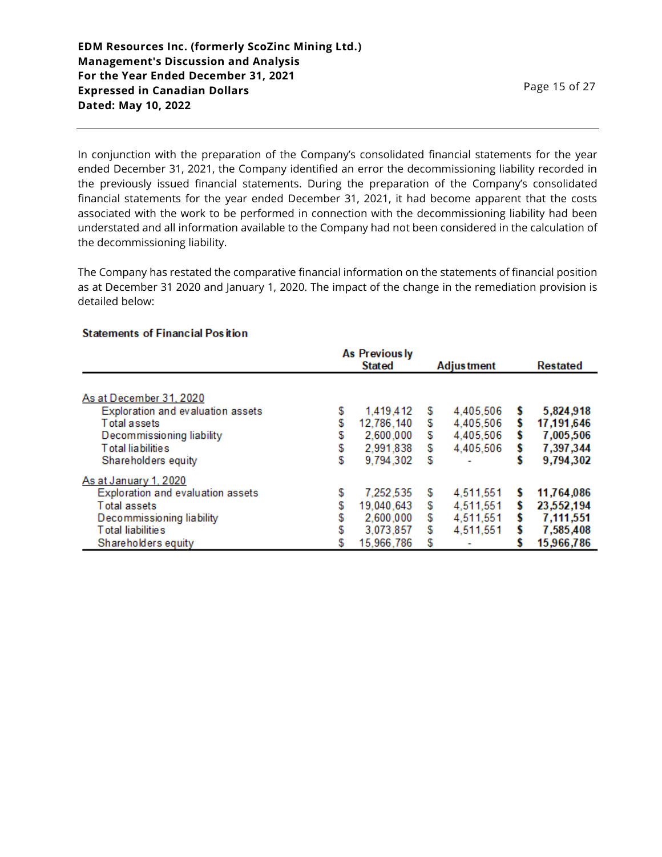In conjunction with the preparation of the Company's consolidated financial statements for the year ended December 31, 2021, the Company identified an error the decommissioning liability recorded in the previously issued financial statements. During the preparation of the Company's consolidated financial statements for the year ended December 31, 2021, it had become apparent that the costs associated with the work to be performed in connection with the decommissioning liability had been understated and all information available to the Company had not been considered in the calculation of the decommissioning liability.

The Company has restated the comparative financial information on the statements of financial position as at December 31 2020 and January 1, 2020. The impact of the change in the remediation provision is detailed below:

### **Statements of Financial Position**

|                                                                                                                                                     |                  | As Previously<br><b>Stated</b>                                  |                        |                                                  |        |                                                                  |
|-----------------------------------------------------------------------------------------------------------------------------------------------------|------------------|-----------------------------------------------------------------|------------------------|--------------------------------------------------|--------|------------------------------------------------------------------|
|                                                                                                                                                     |                  |                                                                 |                        | <b>Adjustment</b>                                |        | <b>Restated</b>                                                  |
| As at December 31, 2020<br>Exploration and evaluation assets<br><b>Total assets</b>                                                                 | \$<br>\$         | 1,419,412<br>12,786,140                                         | S<br>\$                | 4,405,506<br>4,405,506                           |        | 5,824,918<br>17,191,646                                          |
| Decommissioning liability<br>Total liabilities<br>Shareholders equity                                                                               | S<br>S<br>S      | 2,600,000<br>2,991,838<br>9,794,302                             | \$<br>\$<br>S          | 4,405,506<br>4,405,506                           | s      | 7,005,506<br>7,397,344<br>9,794,302                              |
| As at January 1, 2020<br>Exploration and evaluation assets<br>Total assets<br>Decommissioning liability<br>Total liabilities<br>Shareholders equity | S<br>S<br>S<br>S | 7,252,535<br>19,040,643<br>2,600,000<br>3,073,857<br>15,966,786 | S<br>S<br>S<br>\$<br>S | 4,511,551<br>4,511,551<br>4,511,551<br>4,511,551 | S<br>S | 11,764,086<br>23,552,194<br>7,111,551<br>7,585,408<br>15,966,786 |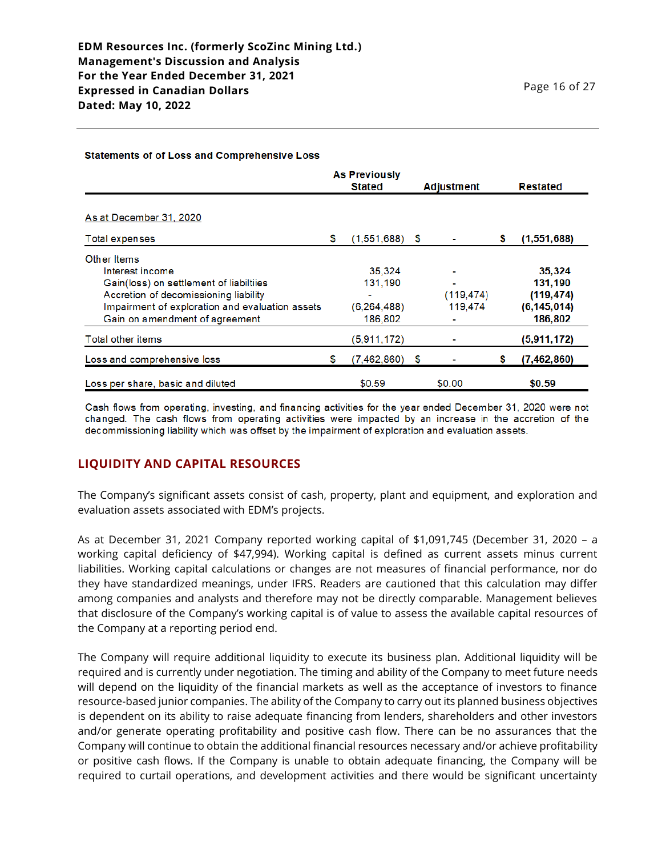#### Statements of of Loss and Comprehensive Loss

|                                                 |    | <b>As Previously</b><br><b>Stated</b> |    | <b>Adjustment</b> |   | <b>Restated</b> |
|-------------------------------------------------|----|---------------------------------------|----|-------------------|---|-----------------|
| As at December 31, 2020                         |    |                                       |    |                   |   |                 |
| Total expenses                                  | \$ | $(1,551,688)$ \$                      |    |                   | s | (1,551,688)     |
| Other Items                                     |    |                                       |    |                   |   |                 |
| Interest income                                 |    | 35,324                                |    |                   |   | 35,324          |
| Gain(loss) on settlement of liabiltiies         |    | 131,190                               |    |                   |   | 131,190         |
| Accretion of decomissioning liability           |    |                                       |    | (119, 474)        |   | (119, 474)      |
| Impairment of exploration and evaluation assets |    | (6, 264, 488)                         |    | 119,474           |   | (6, 145, 014)   |
| Gain on amendment of agreement                  |    | 186,802                               |    |                   |   | 186,802         |
| <b>Total other items</b>                        |    | (5,911,172)                           |    |                   |   | (5,911,172)     |
| Loss and comprehensive loss                     | S  | (7,462,860)                           | -5 |                   |   | (7,462,860)     |
| Loss per share, basic and diluted               |    | \$0.59                                |    | \$0.00            |   | \$0.59          |

Cash flows from operating, investing, and financing activities for the year ended December 31, 2020 were not changed. The cash flows from operating activities were impacted by an increase in the accretion of the decommissioning liability which was offset by the impairment of exploration and evaluation assets.

## **LIQUIDITY AND CAPITAL RESOURCES**

The Company's significant assets consist of cash, property, plant and equipment, and exploration and evaluation assets associated with EDM's projects.

As at December 31, 2021 Company reported working capital of \$1,091,745 (December 31, 2020 – a working capital deficiency of \$47,994). Working capital is defined as current assets minus current liabilities. Working capital calculations or changes are not measures of financial performance, nor do they have standardized meanings, under IFRS. Readers are cautioned that this calculation may differ among companies and analysts and therefore may not be directly comparable. Management believes that disclosure of the Company's working capital is of value to assess the available capital resources of the Company at a reporting period end.

The Company will require additional liquidity to execute its business plan. Additional liquidity will be required and is currently under negotiation. The timing and ability of the Company to meet future needs will depend on the liquidity of the financial markets as well as the acceptance of investors to finance resource-based junior companies. The ability of the Company to carry out its planned business objectives is dependent on its ability to raise adequate financing from lenders, shareholders and other investors and/or generate operating profitability and positive cash flow. There can be no assurances that the Company will continue to obtain the additional financial resources necessary and/or achieve profitability or positive cash flows. If the Company is unable to obtain adequate financing, the Company will be required to curtail operations, and development activities and there would be significant uncertainty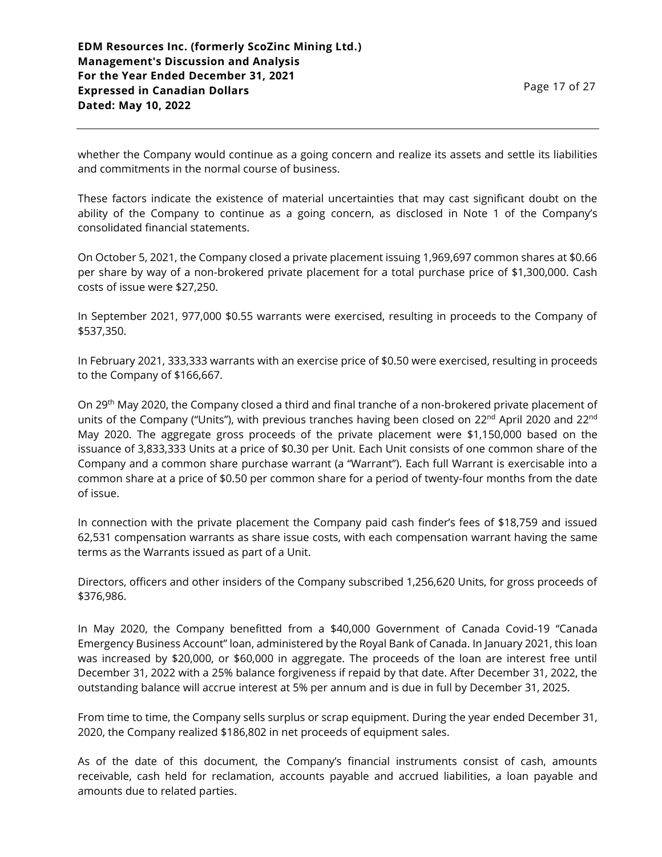whether the Company would continue as a going concern and realize its assets and settle its liabilities and commitments in the normal course of business.

These factors indicate the existence of material uncertainties that may cast significant doubt on the ability of the Company to continue as a going concern, as disclosed in Note 1 of the Company's consolidated financial statements.

On October 5, 2021, the Company closed a private placement issuing 1,969,697 common shares at \$0.66 per share by way of a non-brokered private placement for a total purchase price of \$1,300,000. Cash costs of issue were \$27,250.

In September 2021, 977,000 \$0.55 warrants were exercised, resulting in proceeds to the Company of \$537,350.

In February 2021, 333,333 warrants with an exercise price of \$0.50 were exercised, resulting in proceeds to the Company of \$166,667.

On 29th May 2020, the Company closed a third and final tranche of a non-brokered private placement of units of the Company ("Units"), with previous tranches having been closed on 22<sup>nd</sup> April 2020 and 22<sup>nd</sup> May 2020. The aggregate gross proceeds of the private placement were \$1,150,000 based on the issuance of 3,833,333 Units at a price of \$0.30 per Unit. Each Unit consists of one common share of the Company and a common share purchase warrant (a "Warrant"). Each full Warrant is exercisable into a common share at a price of \$0.50 per common share for a period of twenty-four months from the date of issue.

In connection with the private placement the Company paid cash finder's fees of \$18,759 and issued 62,531 compensation warrants as share issue costs, with each compensation warrant having the same terms as the Warrants issued as part of a Unit.

Directors, officers and other insiders of the Company subscribed 1,256,620 Units, for gross proceeds of \$376,986.

In May 2020, the Company benefitted from a \$40,000 Government of Canada Covid-19 "Canada Emergency Business Account" loan, administered by the Royal Bank of Canada. In January 2021, this loan was increased by \$20,000, or \$60,000 in aggregate. The proceeds of the loan are interest free until December 31, 2022 with a 25% balance forgiveness if repaid by that date. After December 31, 2022, the outstanding balance will accrue interest at 5% per annum and is due in full by December 31, 2025.

From time to time, the Company sells surplus or scrap equipment. During the year ended December 31, 2020, the Company realized \$186,802 in net proceeds of equipment sales.

As of the date of this document, the Company's financial instruments consist of cash, amounts receivable, cash held for reclamation, accounts payable and accrued liabilities, a loan payable and amounts due to related parties.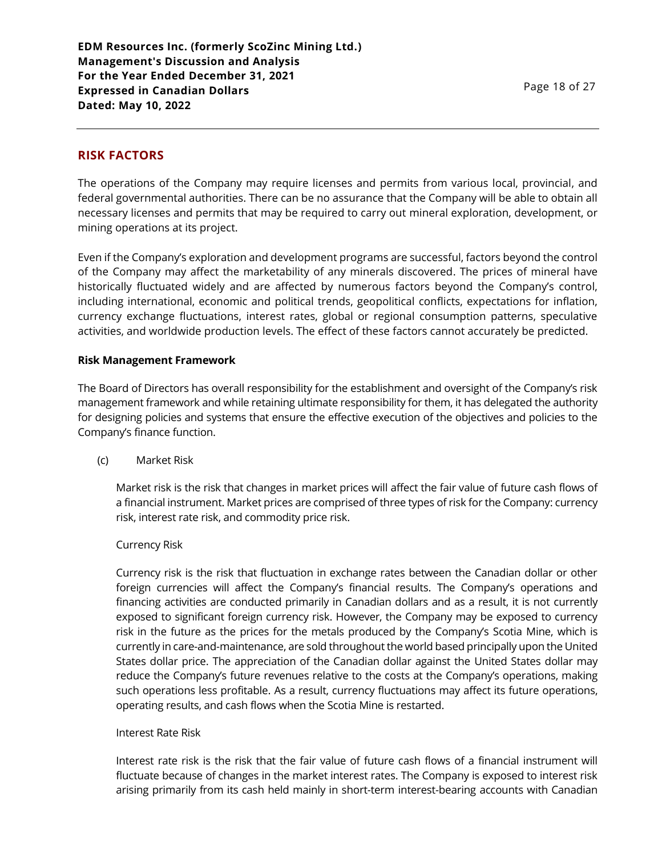## **RISK FACTORS**

The operations of the Company may require licenses and permits from various local, provincial, and federal governmental authorities. There can be no assurance that the Company will be able to obtain all necessary licenses and permits that may be required to carry out mineral exploration, development, or mining operations at its project.

Even if the Company's exploration and development programs are successful, factors beyond the control of the Company may affect the marketability of any minerals discovered. The prices of mineral have historically fluctuated widely and are affected by numerous factors beyond the Company's control, including international, economic and political trends, geopolitical conflicts, expectations for inflation, currency exchange fluctuations, interest rates, global or regional consumption patterns, speculative activities, and worldwide production levels. The effect of these factors cannot accurately be predicted.

### **Risk Management Framework**

The Board of Directors has overall responsibility for the establishment and oversight of the Company's risk management framework and while retaining ultimate responsibility for them, it has delegated the authority for designing policies and systems that ensure the effective execution of the objectives and policies to the Company's finance function.

(c) Market Risk

Market risk is the risk that changes in market prices will affect the fair value of future cash flows of a financial instrument. Market prices are comprised of three types of risk for the Company: currency risk, interest rate risk, and commodity price risk.

### Currency Risk

Currency risk is the risk that fluctuation in exchange rates between the Canadian dollar or other foreign currencies will affect the Company's financial results. The Company's operations and financing activities are conducted primarily in Canadian dollars and as a result, it is not currently exposed to significant foreign currency risk. However, the Company may be exposed to currency risk in the future as the prices for the metals produced by the Company's Scotia Mine, which is currently in care-and-maintenance, are sold throughout the world based principally upon the United States dollar price. The appreciation of the Canadian dollar against the United States dollar may reduce the Company's future revenues relative to the costs at the Company's operations, making such operations less profitable. As a result, currency fluctuations may affect its future operations, operating results, and cash flows when the Scotia Mine is restarted.

### Interest Rate Risk

Interest rate risk is the risk that the fair value of future cash flows of a financial instrument will fluctuate because of changes in the market interest rates. The Company is exposed to interest risk arising primarily from its cash held mainly in short-term interest-bearing accounts with Canadian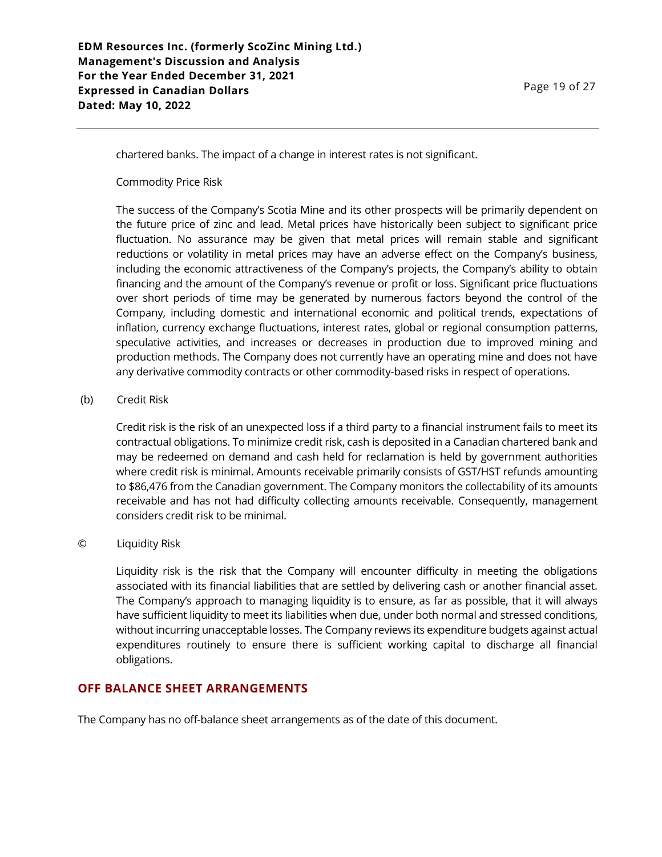chartered banks. The impact of a change in interest rates is not significant.

Commodity Price Risk

The success of the Company's Scotia Mine and its other prospects will be primarily dependent on the future price of zinc and lead. Metal prices have historically been subject to significant price fluctuation. No assurance may be given that metal prices will remain stable and significant reductions or volatility in metal prices may have an adverse effect on the Company's business, including the economic attractiveness of the Company's projects, the Company's ability to obtain financing and the amount of the Company's revenue or profit or loss. Significant price fluctuations over short periods of time may be generated by numerous factors beyond the control of the Company, including domestic and international economic and political trends, expectations of inflation, currency exchange fluctuations, interest rates, global or regional consumption patterns, speculative activities, and increases or decreases in production due to improved mining and production methods. The Company does not currently have an operating mine and does not have any derivative commodity contracts or other commodity-based risks in respect of operations.

### (b) Credit Risk

Credit risk is the risk of an unexpected loss if a third party to a financial instrument fails to meet its contractual obligations. To minimize credit risk, cash is deposited in a Canadian chartered bank and may be redeemed on demand and cash held for reclamation is held by government authorities where credit risk is minimal. Amounts receivable primarily consists of GST/HST refunds amounting to \$86,476 from the Canadian government. The Company monitors the collectability of its amounts receivable and has not had difficulty collecting amounts receivable. Consequently, management considers credit risk to be minimal.

#### © Liquidity Risk

Liquidity risk is the risk that the Company will encounter difficulty in meeting the obligations associated with its financial liabilities that are settled by delivering cash or another financial asset. The Company's approach to managing liquidity is to ensure, as far as possible, that it will always have sufficient liquidity to meet its liabilities when due, under both normal and stressed conditions, without incurring unacceptable losses. The Company reviews its expenditure budgets against actual expenditures routinely to ensure there is sufficient working capital to discharge all financial obligations.

### **OFF BALANCE SHEET ARRANGEMENTS**

The Company has no off-balance sheet arrangements as of the date of this document.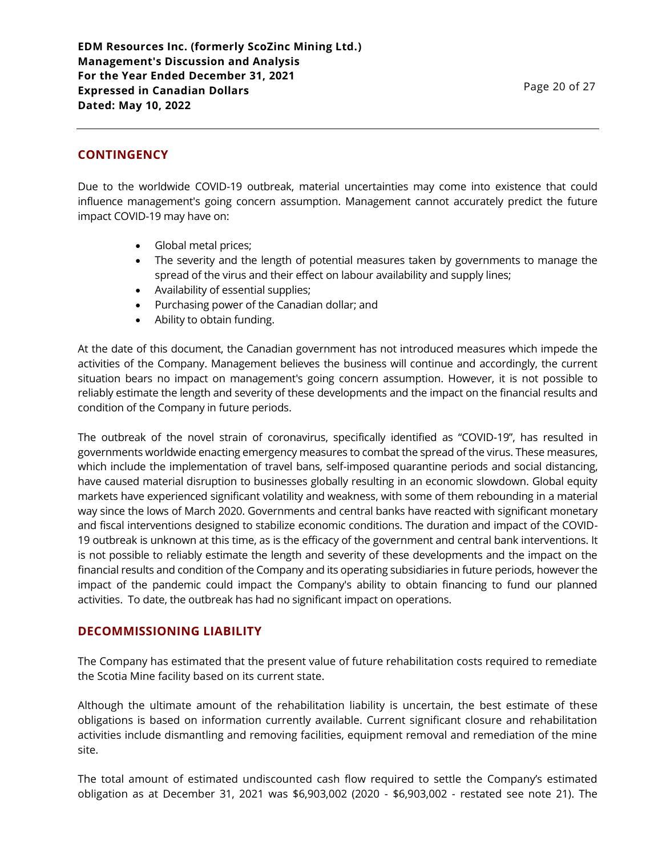**EDM Resources Inc. (formerly ScoZinc Mining Ltd.) Management's Discussion and Analysis For the Year Ended December 31, 2021 Expressed in Canadian Dollars Dated: May 10, 2022**

## **CONTINGENCY**

Due to the worldwide COVID-19 outbreak, material uncertainties may come into existence that could influence management's going concern assumption. Management cannot accurately predict the future impact COVID-19 may have on:

- Global metal prices;
- The severity and the length of potential measures taken by governments to manage the spread of the virus and their effect on labour availability and supply lines;
- Availability of essential supplies;
- Purchasing power of the Canadian dollar; and
- Ability to obtain funding.

At the date of this document, the Canadian government has not introduced measures which impede the activities of the Company. Management believes the business will continue and accordingly, the current situation bears no impact on management's going concern assumption. However, it is not possible to reliably estimate the length and severity of these developments and the impact on the financial results and condition of the Company in future periods.

The outbreak of the novel strain of coronavirus, specifically identified as "COVID-19", has resulted in governments worldwide enacting emergency measures to combat the spread of the virus. These measures, which include the implementation of travel bans, self-imposed quarantine periods and social distancing, have caused material disruption to businesses globally resulting in an economic slowdown. Global equity markets have experienced significant volatility and weakness, with some of them rebounding in a material way since the lows of March 2020. Governments and central banks have reacted with significant monetary and fiscal interventions designed to stabilize economic conditions. The duration and impact of the COVID-19 outbreak is unknown at this time, as is the efficacy of the government and central bank interventions. It is not possible to reliably estimate the length and severity of these developments and the impact on the financial results and condition of the Company and its operating subsidiaries in future periods, however the impact of the pandemic could impact the Company's ability to obtain financing to fund our planned activities. To date, the outbreak has had no significant impact on operations.

### **DECOMMISSIONING LIABILITY**

The Company has estimated that the present value of future rehabilitation costs required to remediate the Scotia Mine facility based on its current state.

Although the ultimate amount of the rehabilitation liability is uncertain, the best estimate of these obligations is based on information currently available. Current significant closure and rehabilitation activities include dismantling and removing facilities, equipment removal and remediation of the mine site.

The total amount of estimated undiscounted cash flow required to settle the Company's estimated obligation as at December 31, 2021 was \$6,903,002 (2020 - \$6,903,002 - restated see note 21). The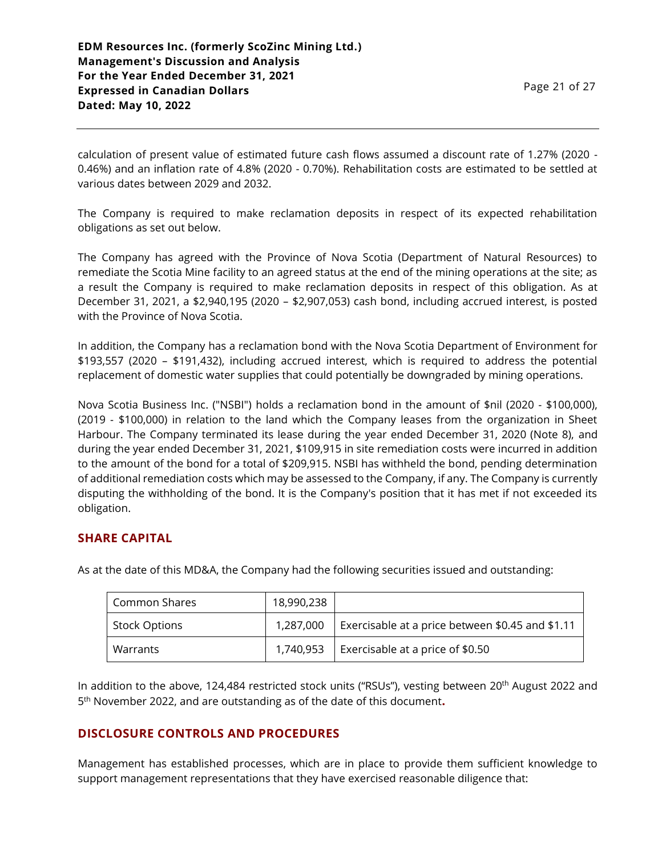calculation of present value of estimated future cash flows assumed a discount rate of 1.27% (2020 - 0.46%) and an inflation rate of 4.8% (2020 - 0.70%). Rehabilitation costs are estimated to be settled at various dates between 2029 and 2032.

The Company is required to make reclamation deposits in respect of its expected rehabilitation obligations as set out below.

The Company has agreed with the Province of Nova Scotia (Department of Natural Resources) to remediate the Scotia Mine facility to an agreed status at the end of the mining operations at the site; as a result the Company is required to make reclamation deposits in respect of this obligation. As at December 31, 2021, a \$2,940,195 (2020 – \$2,907,053) cash bond, including accrued interest, is posted with the Province of Nova Scotia.

In addition, the Company has a reclamation bond with the Nova Scotia Department of Environment for \$193,557 (2020 – \$191,432), including accrued interest, which is required to address the potential replacement of domestic water supplies that could potentially be downgraded by mining operations.

Nova Scotia Business Inc. ("NSBI") holds a reclamation bond in the amount of \$nil (2020 - \$100,000), (2019 - \$100,000) in relation to the land which the Company leases from the organization in Sheet Harbour. The Company terminated its lease during the year ended December 31, 2020 (Note 8), and during the year ended December 31, 2021, \$109,915 in site remediation costs were incurred in addition to the amount of the bond for a total of \$209,915. NSBI has withheld the bond, pending determination of additional remediation costs which may be assessed to the Company, if any. The Company is currently disputing the withholding of the bond. It is the Company's position that it has met if not exceeded its obligation.

# **SHARE CAPITAL**

As at the date of this MD&A, the Company had the following securities issued and outstanding:

| Common Shares        | 18,990,238 |                                                  |
|----------------------|------------|--------------------------------------------------|
| <b>Stock Options</b> | 1,287,000  | Exercisable at a price between \$0.45 and \$1.11 |
| Warrants             | 1.740.953  | Exercisable at a price of \$0.50                 |

In addition to the above, 124,484 restricted stock units ("RSUs"), vesting between 20<sup>th</sup> August 2022 and 5 th November 2022, and are outstanding as of the date of this document**.**

## **DISCLOSURE CONTROLS AND PROCEDURES**

Management has established processes, which are in place to provide them sufficient knowledge to support management representations that they have exercised reasonable diligence that: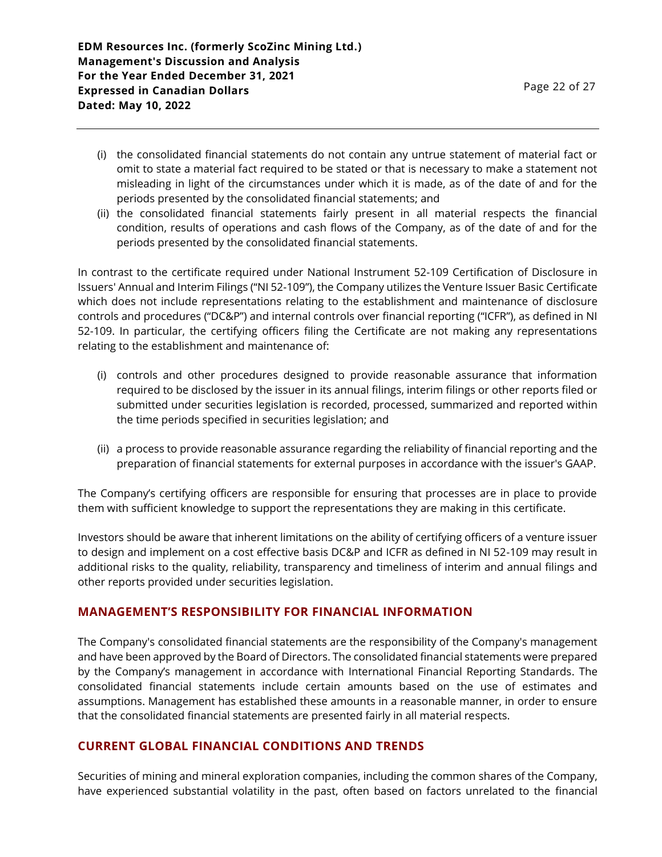- (i) the consolidated financial statements do not contain any untrue statement of material fact or omit to state a material fact required to be stated or that is necessary to make a statement not misleading in light of the circumstances under which it is made, as of the date of and for the periods presented by the consolidated financial statements; and
- (ii) the consolidated financial statements fairly present in all material respects the financial condition, results of operations and cash flows of the Company, as of the date of and for the periods presented by the consolidated financial statements.

In contrast to the certificate required under National Instrument 52-109 Certification of Disclosure in Issuers' Annual and Interim Filings ("NI 52-109"), the Company utilizes the Venture Issuer Basic Certificate which does not include representations relating to the establishment and maintenance of disclosure controls and procedures ("DC&P") and internal controls over financial reporting ("ICFR"), as defined in NI 52-109. In particular, the certifying officers filing the Certificate are not making any representations relating to the establishment and maintenance of:

- (i) controls and other procedures designed to provide reasonable assurance that information required to be disclosed by the issuer in its annual filings, interim filings or other reports filed or submitted under securities legislation is recorded, processed, summarized and reported within the time periods specified in securities legislation; and
- (ii) a process to provide reasonable assurance regarding the reliability of financial reporting and the preparation of financial statements for external purposes in accordance with the issuer's GAAP.

The Company's certifying officers are responsible for ensuring that processes are in place to provide them with sufficient knowledge to support the representations they are making in this certificate.

Investors should be aware that inherent limitations on the ability of certifying officers of a venture issuer to design and implement on a cost effective basis DC&P and ICFR as defined in NI 52-109 may result in additional risks to the quality, reliability, transparency and timeliness of interim and annual filings and other reports provided under securities legislation.

# **MANAGEMENT'S RESPONSIBILITY FOR FINANCIAL INFORMATION**

The Company's consolidated financial statements are the responsibility of the Company's management and have been approved by the Board of Directors. The consolidated financial statements were prepared by the Company's management in accordance with International Financial Reporting Standards. The consolidated financial statements include certain amounts based on the use of estimates and assumptions. Management has established these amounts in a reasonable manner, in order to ensure that the consolidated financial statements are presented fairly in all material respects.

# **CURRENT GLOBAL FINANCIAL CONDITIONS AND TRENDS**

Securities of mining and mineral exploration companies, including the common shares of the Company, have experienced substantial volatility in the past, often based on factors unrelated to the financial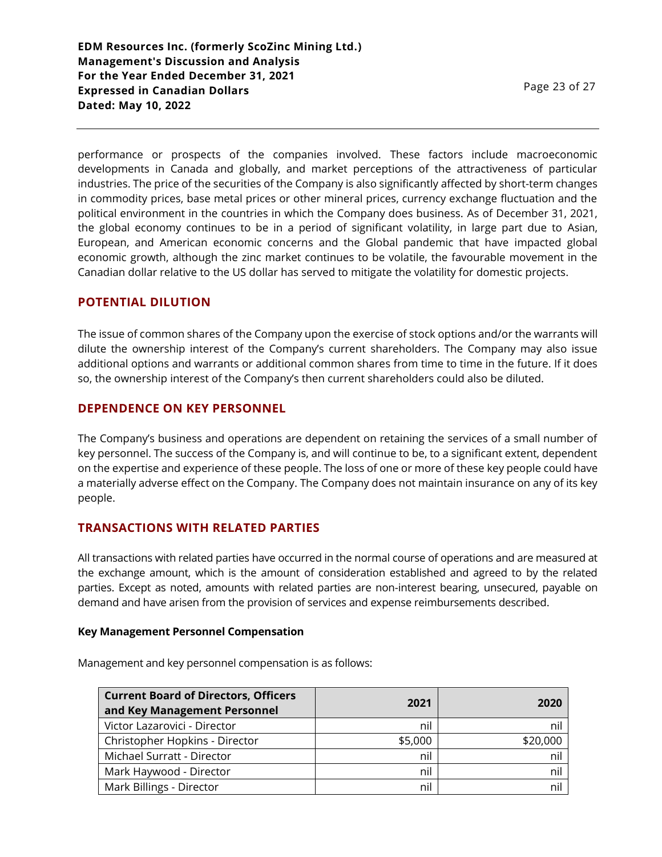performance or prospects of the companies involved. These factors include macroeconomic developments in Canada and globally, and market perceptions of the attractiveness of particular industries. The price of the securities of the Company is also significantly affected by short-term changes in commodity prices, base metal prices or other mineral prices, currency exchange fluctuation and the political environment in the countries in which the Company does business. As of December 31, 2021, the global economy continues to be in a period of significant volatility, in large part due to Asian, European, and American economic concerns and the Global pandemic that have impacted global economic growth, although the zinc market continues to be volatile, the favourable movement in the Canadian dollar relative to the US dollar has served to mitigate the volatility for domestic projects.

### **POTENTIAL DILUTION**

The issue of common shares of the Company upon the exercise of stock options and/or the warrants will dilute the ownership interest of the Company's current shareholders. The Company may also issue additional options and warrants or additional common shares from time to time in the future. If it does so, the ownership interest of the Company's then current shareholders could also be diluted.

## **DEPENDENCE ON KEY PERSONNEL**

The Company's business and operations are dependent on retaining the services of a small number of key personnel. The success of the Company is, and will continue to be, to a significant extent, dependent on the expertise and experience of these people. The loss of one or more of these key people could have a materially adverse effect on the Company. The Company does not maintain insurance on any of its key people.

## **TRANSACTIONS WITH RELATED PARTIES**

All transactions with related parties have occurred in the normal course of operations and are measured at the exchange amount, which is the amount of consideration established and agreed to by the related parties. Except as noted, amounts with related parties are non-interest bearing, unsecured, payable on demand and have arisen from the provision of services and expense reimbursements described.

#### **Key Management Personnel Compensation**

| <b>Current Board of Directors, Officers</b><br>and Key Management Personnel | 2021    | 2020     |
|-----------------------------------------------------------------------------|---------|----------|
| Victor Lazarovici - Director                                                | nil     | nil      |
| Christopher Hopkins - Director                                              | \$5,000 | \$20,000 |
| Michael Surratt - Director                                                  | nil     | nil      |
| Mark Haywood - Director                                                     | nil     | nil      |
| Mark Billings - Director                                                    | nil     | nil      |

Management and key personnel compensation is as follows: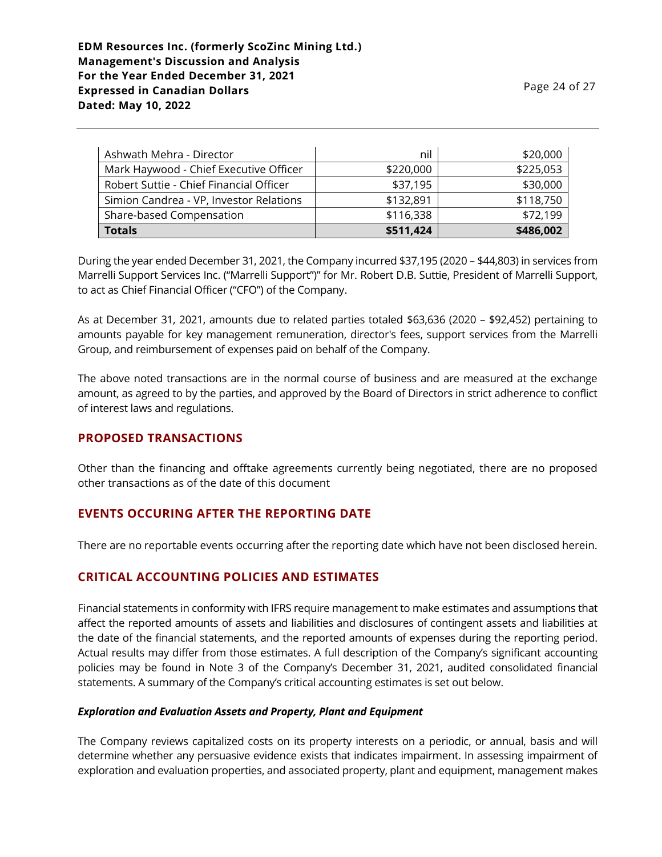| Ashwath Mehra - Director                | nil       | \$20,000  |
|-----------------------------------------|-----------|-----------|
| Mark Haywood - Chief Executive Officer  | \$220,000 | \$225,053 |
| Robert Suttie - Chief Financial Officer | \$37,195  | \$30,000  |
| Simion Candrea - VP, Investor Relations | \$132,891 | \$118,750 |
| Share-based Compensation                | \$116,338 | \$72,199  |
| <b>Totals</b>                           | \$511,424 | \$486,002 |

During the year ended December 31, 2021, the Company incurred \$37,195 (2020 – \$44,803) in services from Marrelli Support Services Inc. ("Marrelli Support")" for Mr. Robert D.B. Suttie, President of Marrelli Support, to act as Chief Financial Officer ("CFO") of the Company.

As at December 31, 2021, amounts due to related parties totaled \$63,636 (2020 – \$92,452) pertaining to amounts payable for key management remuneration, director's fees, support services from the Marrelli Group, and reimbursement of expenses paid on behalf of the Company.

The above noted transactions are in the normal course of business and are measured at the exchange amount, as agreed to by the parties, and approved by the Board of Directors in strict adherence to conflict of interest laws and regulations.

## **PROPOSED TRANSACTIONS**

Other than the financing and offtake agreements currently being negotiated, there are no proposed other transactions as of the date of this document

# **EVENTS OCCURING AFTER THE REPORTING DATE**

There are no reportable events occurring after the reporting date which have not been disclosed herein.

# **CRITICAL ACCOUNTING POLICIES AND ESTIMATES**

Financial statements in conformity with IFRS require management to make estimates and assumptions that affect the reported amounts of assets and liabilities and disclosures of contingent assets and liabilities at the date of the financial statements, and the reported amounts of expenses during the reporting period. Actual results may differ from those estimates. A full description of the Company's significant accounting policies may be found in Note 3 of the Company's December 31, 2021, audited consolidated financial statements. A summary of the Company's critical accounting estimates is set out below.

## *Exploration and Evaluation Assets and Property, Plant and Equipment*

The Company reviews capitalized costs on its property interests on a periodic, or annual, basis and will determine whether any persuasive evidence exists that indicates impairment. In assessing impairment of exploration and evaluation properties, and associated property, plant and equipment, management makes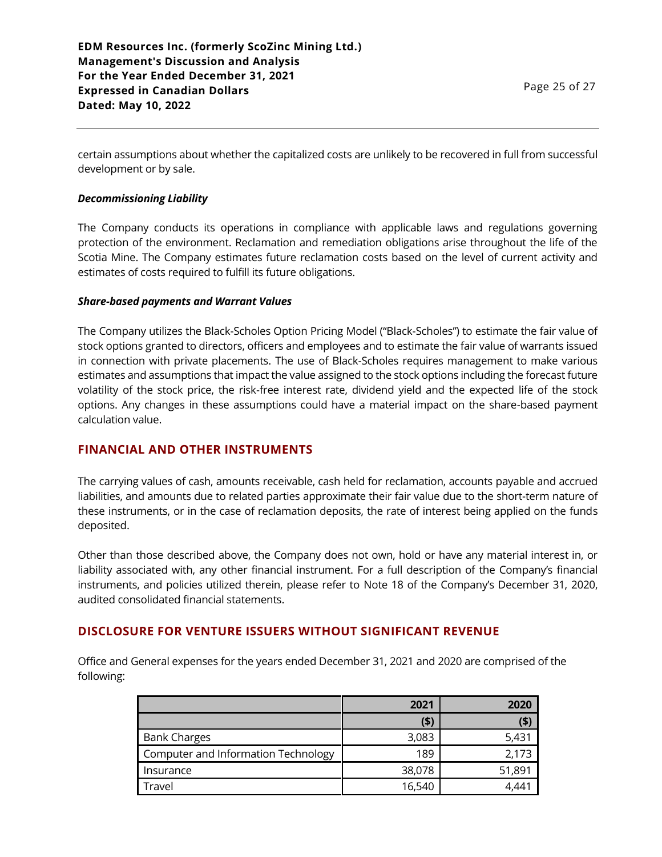certain assumptions about whether the capitalized costs are unlikely to be recovered in full from successful development or by sale.

### *Decommissioning Liability*

The Company conducts its operations in compliance with applicable laws and regulations governing protection of the environment. Reclamation and remediation obligations arise throughout the life of the Scotia Mine. The Company estimates future reclamation costs based on the level of current activity and estimates of costs required to fulfill its future obligations.

#### *Share-based payments and Warrant Values*

The Company utilizes the Black-Scholes Option Pricing Model ("Black-Scholes") to estimate the fair value of stock options granted to directors, officers and employees and to estimate the fair value of warrants issued in connection with private placements. The use of Black-Scholes requires management to make various estimates and assumptions that impact the value assigned to the stock options including the forecast future volatility of the stock price, the risk-free interest rate, dividend yield and the expected life of the stock options. Any changes in these assumptions could have a material impact on the share-based payment calculation value.

## **FINANCIAL AND OTHER INSTRUMENTS**

The carrying values of cash, amounts receivable, cash held for reclamation, accounts payable and accrued liabilities, and amounts due to related parties approximate their fair value due to the short-term nature of these instruments, or in the case of reclamation deposits, the rate of interest being applied on the funds deposited.

Other than those described above, the Company does not own, hold or have any material interest in, or liability associated with, any other financial instrument. For a full description of the Company's financial instruments, and policies utilized therein, please refer to Note 18 of the Company's December 31, 2020, audited consolidated financial statements.

## **DISCLOSURE FOR VENTURE ISSUERS WITHOUT SIGNIFICANT REVENUE**

Office and General expenses for the years ended December 31, 2021 and 2020 are comprised of the following:

|                                     | 2021    | 2020   |
|-------------------------------------|---------|--------|
|                                     | $($ \$) | (\$)   |
| <b>Bank Charges</b>                 | 3,083   | 5,431  |
| Computer and Information Technology | 189     | 2,173  |
| Insurance                           | 38,078  | 51,891 |
| Travel                              | 16,540  |        |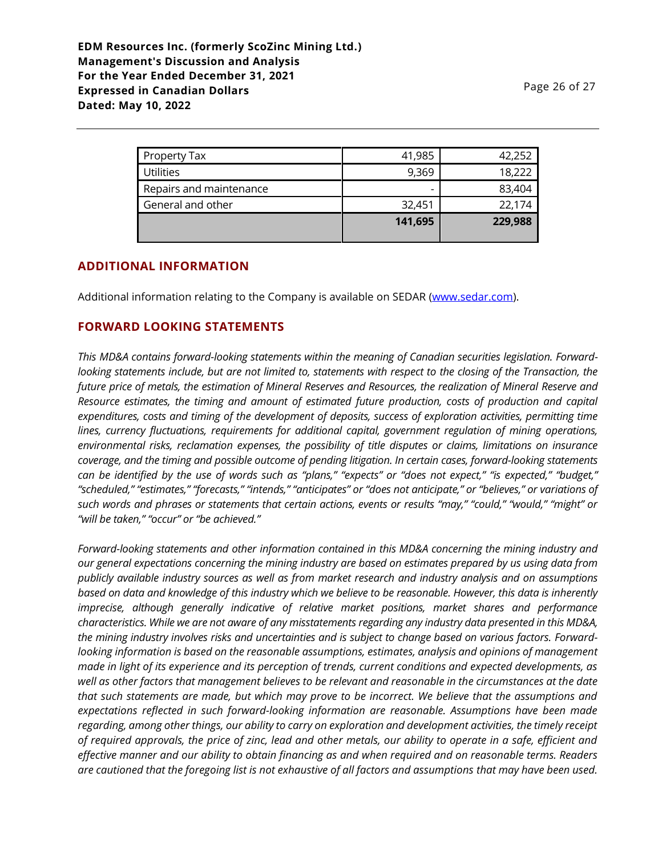|                         | 141,695                  | 229,988 |
|-------------------------|--------------------------|---------|
| General and other       | 32,451                   | 22,174  |
| Repairs and maintenance | $\overline{\phantom{0}}$ | 83,404  |
| <b>Utilities</b>        | 9,369                    | 18,222  |
| Property Tax            | 41,985                   | 42,252  |

## **ADDITIONAL INFORMATION**

Additional information relating to the Company is available on SEDAR [\(www.sedar.com\)](http://www.sedar.com/).

### **FORWARD LOOKING STATEMENTS**

*This MD&A contains forward-looking statements within the meaning of Canadian securities legislation. Forwardlooking statements include, but are not limited to, statements with respect to the closing of the Transaction, the future price of metals, the estimation of Mineral Reserves and Resources, the realization of Mineral Reserve and Resource estimates, the timing and amount of estimated future production, costs of production and capital expenditures, costs and timing of the development of deposits, success of exploration activities, permitting time lines, currency fluctuations, requirements for additional capital, government regulation of mining operations, environmental risks, reclamation expenses, the possibility of title disputes or claims, limitations on insurance coverage, and the timing and possible outcome of pending litigation. In certain cases, forward-looking statements can be identified by the use of words such as "plans," "expects" or "does not expect," "is expected," "budget," "scheduled," "estimates," "forecasts," "intends," "anticipates" or "does not anticipate," or "believes," or variations of such words and phrases or statements that certain actions, events or results "may," "could," "would," "might" or "will be taken," "occur" or "be achieved."*

*Forward-looking statements and other information contained in this MD&A concerning the mining industry and our general expectations concerning the mining industry are based on estimates prepared by us using data from publicly available industry sources as well as from market research and industry analysis and on assumptions based on data and knowledge of this industry which we believe to be reasonable. However, this data is inherently imprecise, although generally indicative of relative market positions, market shares and performance characteristics. While we are not aware of any misstatements regarding any industry data presented in this MD&A, the mining industry involves risks and uncertainties and is subject to change based on various factors. Forwardlooking information is based on the reasonable assumptions, estimates, analysis and opinions of management made in light of its experience and its perception of trends, current conditions and expected developments, as well as other factors that management believes to be relevant and reasonable in the circumstances at the date that such statements are made, but which may prove to be incorrect. We believe that the assumptions and expectations reflected in such forward-looking information are reasonable. Assumptions have been made regarding, among other things, our ability to carry on exploration and development activities, the timely receipt of required approvals, the price of zinc, lead and other metals, our ability to operate in a safe, efficient and effective manner and our ability to obtain financing as and when required and on reasonable terms. Readers are cautioned that the foregoing list is not exhaustive of all factors and assumptions that may have been used.*